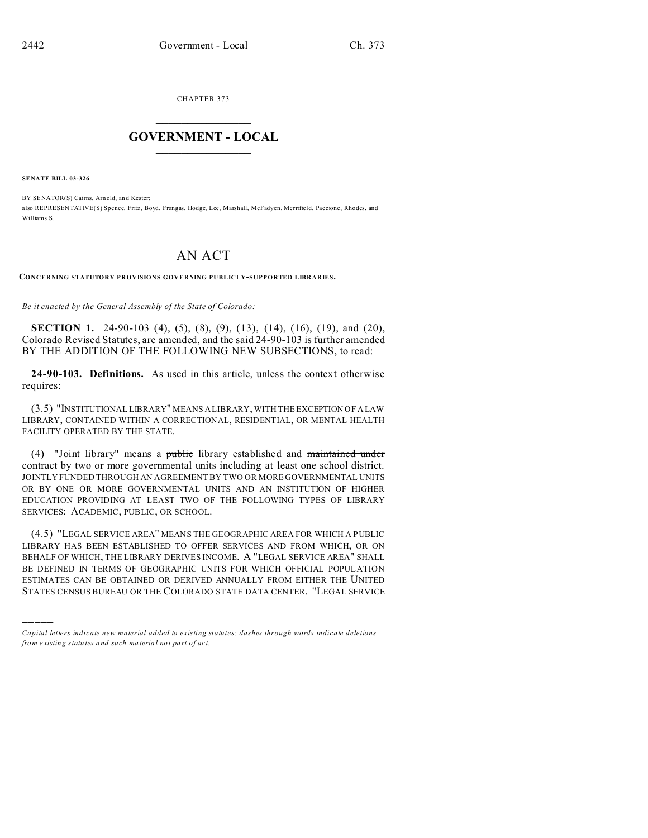CHAPTER 373  $\overline{\phantom{a}}$  , where  $\overline{\phantom{a}}$ 

## **GOVERNMENT - LOCAL**  $\_$

**SENATE BILL 03-326**

)))))

BY SENATOR(S) Cairns, Arn old, an d Kester; also REPRESENTATIVE(S) Spence, Fritz, Boyd, Frangas, Hodge, Lee, Marshall, McFadyen, Merrifield, Paccione, Rhodes, and Williams S.

## AN ACT

**CONCERNING STATUTORY PROVISIONS GOVERNING PUBLICLY-SUPPORTED LIBRARIES.**

*Be it enacted by the General Assembly of the State of Colorado:*

**SECTION 1.** 24-90-103 (4), (5), (8), (9), (13), (14), (16), (19), and (20), Colorado Revised Statutes, are amended, and the said 24-90-103 is further amended BY THE ADDITION OF THE FOLLOWING NEW SUBSECTIONS, to read:

**24-90-103. Definitions.** As used in this article, unless the context otherwise requires:

(3.5) "INSTITUTIONAL LIBRARY" MEANS A LIBRARY, WITH THE EXCEPTION OF A LAW LIBRARY, CONTAINED WITHIN A CORRECTIONAL, RESIDENTIAL, OR MENTAL HEALTH FACILITY OPERATED BY THE STATE.

(4) "Joint library" means a public library established and maintained under contract by two or more governmental units including at least one school district. JOINTLY FUNDED THROUGH AN AGREEMENT BY TWO OR MORE GOVERNMENTAL UNITS OR BY ONE OR MORE GOVERNMENTAL UNITS AND AN INSTITUTION OF HIGHER EDUCATION PROVIDING AT LEAST TWO OF THE FOLLOWING TYPES OF LIBRARY SERVICES: ACADEMIC, PUBLIC, OR SCHOOL.

(4.5) "LEGAL SERVICE AREA" MEANS THE GEOGRAPHIC AREA FOR WHICH A PUBLIC LIBRARY HAS BEEN ESTABLISHED TO OFFER SERVICES AND FROM WHICH, OR ON BEHALF OF WHICH, THE LIBRARY DERIVES INCOME. A "LEGAL SERVICE AREA" SHALL BE DEFINED IN TERMS OF GEOGRAPHIC UNITS FOR WHICH OFFICIAL POPULATION ESTIMATES CAN BE OBTAINED OR DERIVED ANNUALLY FROM EITHER THE UNITED STATES CENSUS BUREAU OR THE COLORADO STATE DATA CENTER. "LEGAL SERVICE

*Capital letters indicate new material added to existing statutes; dashes through words indicate deletions from e xistin g statu tes a nd such ma teria l no t pa rt of ac t.*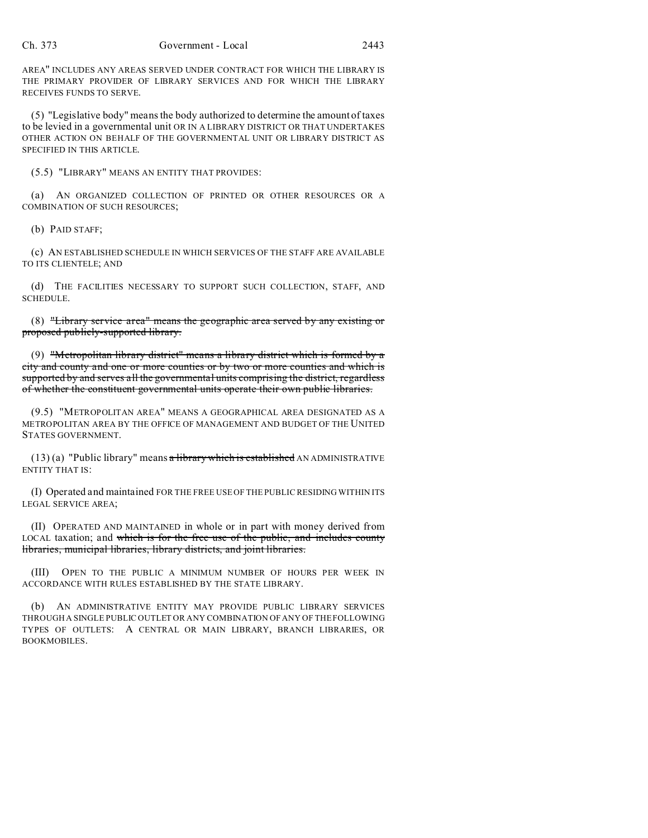AREA" INCLUDES ANY AREAS SERVED UNDER CONTRACT FOR WHICH THE LIBRARY IS THE PRIMARY PROVIDER OF LIBRARY SERVICES AND FOR WHICH THE LIBRARY RECEIVES FUNDS TO SERVE.

(5) "Legislative body" means the body authorized to determine the amount of taxes to be levied in a governmental unit OR IN A LIBRARY DISTRICT OR THAT UNDERTAKES OTHER ACTION ON BEHALF OF THE GOVERNMENTAL UNIT OR LIBRARY DISTRICT AS SPECIFIED IN THIS ARTICLE.

(5.5) "LIBRARY" MEANS AN ENTITY THAT PROVIDES:

(a) AN ORGANIZED COLLECTION OF PRINTED OR OTHER RESOURCES OR A COMBINATION OF SUCH RESOURCES;

(b) PAID STAFF;

(c) AN ESTABLISHED SCHEDULE IN WHICH SERVICES OF THE STAFF ARE AVAILABLE TO ITS CLIENTELE; AND

(d) THE FACILITIES NECESSARY TO SUPPORT SUCH COLLECTION, STAFF, AND SCHEDULE.

(8) "Library service area" means the geographic area served by any existing or proposed publicly-supported library.

(9) "Metropolitan library district" means a library district which is formed by a city and county and one or more counties or by two or more counties and which is supported by and serves all the governmental units comprising the district, regardless of whether the constituent governmental units operate their own public libraries.

(9.5) "METROPOLITAN AREA" MEANS A GEOGRAPHICAL AREA DESIGNATED AS A METROPOLITAN AREA BY THE OFFICE OF MANAGEMENT AND BUDGET OF THE UNITED STATES GOVERNMENT.

 $(13)$  (a) "Public library" means a library which is established AN ADMINISTRATIVE ENTITY THAT IS:

(I) Operated and maintained FOR THE FREE USE OF THE PUBLIC RESIDING WITHIN ITS LEGAL SERVICE AREA;

(II) OPERATED AND MAINTAINED in whole or in part with money derived from LOCAL taxation; and which is for the free use of the public, and includes county libraries, municipal libraries, library districts, and joint libraries.

(III) OPEN TO THE PUBLIC A MINIMUM NUMBER OF HOURS PER WEEK IN ACCORDANCE WITH RULES ESTABLISHED BY THE STATE LIBRARY.

(b) AN ADMINISTRATIVE ENTITY MAY PROVIDE PUBLIC LIBRARY SERVICES THROUGH A SINGLE PUBLIC OUTLET OR ANY COMBINATION OF ANY OF THE FOLLOWING TYPES OF OUTLETS: A CENTRAL OR MAIN LIBRARY, BRANCH LIBRARIES, OR BOOKMOBILES.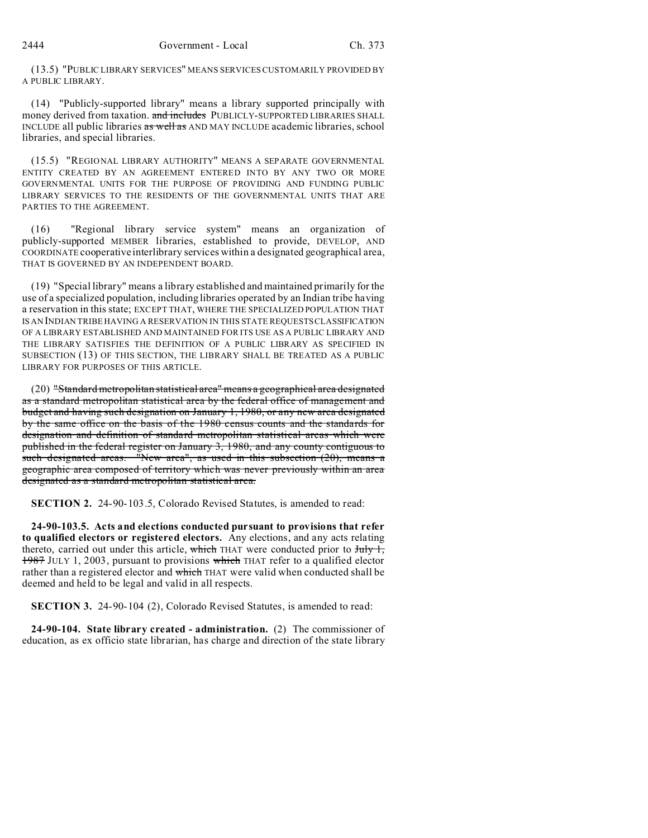(13.5) "PUBLIC LIBRARY SERVICES" MEANS SERVICES CUSTOMARILY PROVIDED BY A PUBLIC LIBRARY.

(14) "Publicly-supported library" means a library supported principally with money derived from taxation. and includes PUBLICLY-SUPPORTED LIBRARIES SHALL INCLUDE all public libraries as well as AND MAY INCLUDE academic libraries, school libraries, and special libraries.

(15.5) "REGIONAL LIBRARY AUTHORITY" MEANS A SEPARATE GOVERNMENTAL ENTITY CREATED BY AN AGREEMENT ENTERED INTO BY ANY TWO OR MORE GOVERNMENTAL UNITS FOR THE PURPOSE OF PROVIDING AND FUNDING PUBLIC LIBRARY SERVICES TO THE RESIDENTS OF THE GOVERNMENTAL UNITS THAT ARE PARTIES TO THE AGREEMENT.

(16) "Regional library service system" means an organization of publicly-supported MEMBER libraries, established to provide, DEVELOP, AND COORDINATE cooperative interlibrary services within a designated geographical area, THAT IS GOVERNED BY AN INDEPENDENT BOARD.

(19) "Special library" means a library established and maintained primarily for the use of a specialized population, including libraries operated by an Indian tribe having a reservation in this state; EXCEPT THAT, WHERE THE SPECIALIZED POPULATION THAT IS AN INDIAN TRIBE HAVING A RESERVATION IN THIS STATE REQUESTS CLASSIFICATION OF A LIBRARY ESTABLISHED AND MAINTAINED FOR ITS USE AS A PUBLIC LIBRARY AND THE LIBRARY SATISFIES THE DEFINITION OF A PUBLIC LIBRARY AS SPECIFIED IN SUBSECTION (13) OF THIS SECTION, THE LIBRARY SHALL BE TREATED AS A PUBLIC LIBRARY FOR PURPOSES OF THIS ARTICLE.

(20) "Standard metropolitan statistical area" means a geographical area designated as a standard metropolitan statistical area by the federal office of management and budget and having such designation on January 1, 1980, or any new area designated by the same office on the basis of the 1980 census counts and the standards for designation and definition of standard metropolitan statistical areas which were published in the federal register on January 3, 1980, and any county contiguous to such designated areas. "New area", as used in this subsection (20), means a geographic area composed of territory which was never previously within an area designated as a standard metropolitan statistical area.

**SECTION 2.** 24-90-103.5, Colorado Revised Statutes, is amended to read:

**24-90-103.5. Acts and elections conducted pursuant to provisions that refer to qualified electors or registered electors.** Any elections, and any acts relating thereto, carried out under this article, which THAT were conducted prior to  $J_{\text{t}}$ , 1987 JULY 1, 2003, pursuant to provisions which THAT refer to a qualified elector rather than a registered elector and which THAT were valid when conducted shall be deemed and held to be legal and valid in all respects.

**SECTION 3.** 24-90-104 (2), Colorado Revised Statutes, is amended to read:

**24-90-104. State library created - administration.** (2) The commissioner of education, as ex officio state librarian, has charge and direction of the state library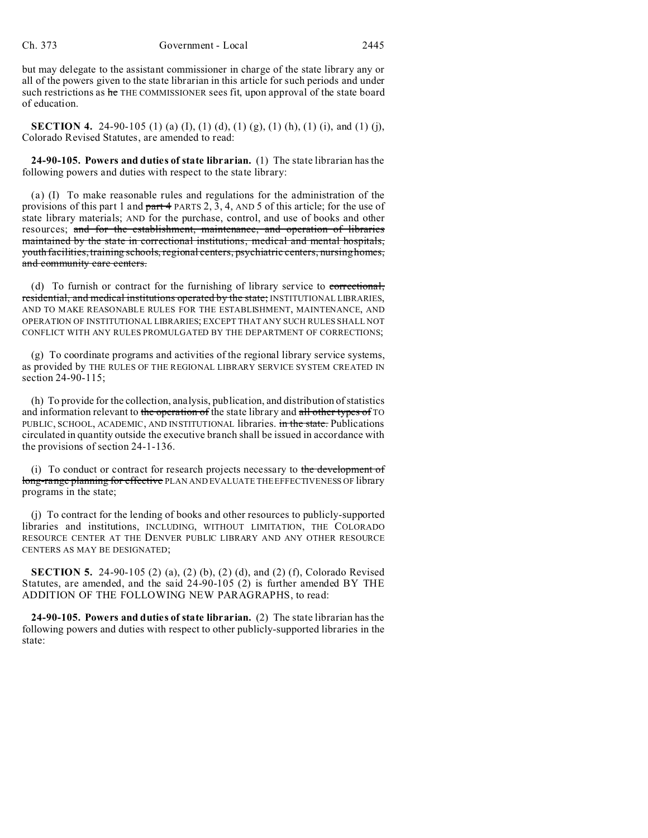but may delegate to the assistant commissioner in charge of the state library any or all of the powers given to the state librarian in this article for such periods and under such restrictions as he THE COMMISSIONER sees fit, upon approval of the state board of education.

**SECTION 4.** 24-90-105 (1) (a) (I), (1) (d), (1) (g), (1) (h), (1) (i), and (1) (j), Colorado Revised Statutes, are amended to read:

**24-90-105. Powers and duties of state librarian.** (1) The state librarian has the following powers and duties with respect to the state library:

(a) (I) To make reasonable rules and regulations for the administration of the provisions of this part 1 and part 4 PARTS 2, 3, 4, AND 5 of this article; for the use of state library materials; AND for the purchase, control, and use of books and other resources; and for the establishment, maintenance, and operation of libraries maintained by the state in correctional institutions, medical and mental hospitals, youth facilities, training schools, regional centers, psychiatric centers, nursing homes, and community care centers.

(d) To furnish or contract for the furnishing of library service to correctional, residential, and medical institutions operated by the state; INSTITUTIONAL LIBRARIES, AND TO MAKE REASONABLE RULES FOR THE ESTABLISHMENT, MAINTENANCE, AND OPERATION OF INSTITUTIONAL LIBRARIES; EXCEPT THAT ANY SUCH RULES SHALL NOT CONFLICT WITH ANY RULES PROMULGATED BY THE DEPARTMENT OF CORRECTIONS;

(g) To coordinate programs and activities of the regional library service systems, as provided by THE RULES OF THE REGIONAL LIBRARY SERVICE SYSTEM CREATED IN section 24-90-115:

(h) To provide for the collection, analysis, publication, and distribution of statistics and information relevant to the operation of the state library and all other types of TO PUBLIC, SCHOOL, ACADEMIC, AND INSTITUTIONAL libraries. in the state. Publications circulated in quantity outside the executive branch shall be issued in accordance with the provisions of section 24-1-136.

(i) To conduct or contract for research projects necessary to the development of long-range planning for effective PLAN AND EVALUATE THE EFFECTIVENESS OF library programs in the state;

(j) To contract for the lending of books and other resources to publicly-supported libraries and institutions, INCLUDING, WITHOUT LIMITATION, THE COLORADO RESOURCE CENTER AT THE DENVER PUBLIC LIBRARY AND ANY OTHER RESOURCE CENTERS AS MAY BE DESIGNATED;

**SECTION 5.** 24-90-105 (2) (a), (2) (b), (2) (d), and (2) (f), Colorado Revised Statutes, are amended, and the said 24-90-105 (2) is further amended BY THE ADDITION OF THE FOLLOWING NEW PARAGRAPHS, to read:

**24-90-105. Powers and duties of state librarian.** (2) The state librarian has the following powers and duties with respect to other publicly-supported libraries in the state: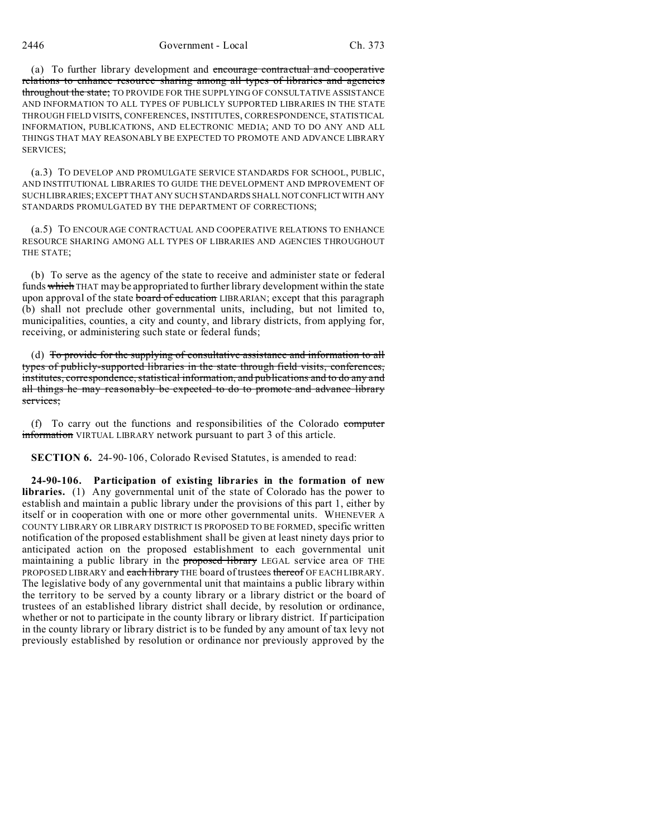2446 Government - Local Ch. 373

(a) To further library development and encourage contractual and cooperative relations to enhance resource sharing among all types of libraries and agencies throughout the state; TO PROVIDE FOR THE SUPPLYING OF CONSULTATIVE ASSISTANCE AND INFORMATION TO ALL TYPES OF PUBLICLY SUPPORTED LIBRARIES IN THE STATE THROUGH FIELD VISITS, CONFERENCES, INSTITUTES, CORRESPONDENCE, STATISTICAL INFORMATION, PUBLICATIONS, AND ELECTRONIC MEDIA; AND TO DO ANY AND ALL THINGS THAT MAY REASONABLY BE EXPECTED TO PROMOTE AND ADVANCE LIBRARY SERVICES<sup>-</sup>

(a.3) TO DEVELOP AND PROMULGATE SERVICE STANDARDS FOR SCHOOL, PUBLIC, AND INSTITUTIONAL LIBRARIES TO GUIDE THE DEVELOPMENT AND IMPROVEMENT OF SUCH LIBRARIES; EXCEPT THAT ANY SUCH STANDARDS SHALL NOTCONFLICTWITH ANY STANDARDS PROMULGATED BY THE DEPARTMENT OF CORRECTIONS;

(a.5) TO ENCOURAGE CONTRACTUAL AND COOPERATIVE RELATIONS TO ENHANCE RESOURCE SHARING AMONG ALL TYPES OF LIBRARIES AND AGENCIES THROUGHOUT THE STATE;

(b) To serve as the agency of the state to receive and administer state or federal funds which THAT may be appropriated to further library development within the state upon approval of the state board of education LIBRARIAN; except that this paragraph (b) shall not preclude other governmental units, including, but not limited to, municipalities, counties, a city and county, and library districts, from applying for, receiving, or administering such state or federal funds;

(d) To provide for the supplying of consultative assistance and information to all types of publicly-supported libraries in the state through field visits, conferences, institutes, correspondence, statistical information, and publications and to do any and all things he may reasonably be expected to do to promote and advance library services;

(f) To carry out the functions and responsibilities of the Colorado computer information VIRTUAL LIBRARY network pursuant to part 3 of this article.

**SECTION 6.** 24-90-106, Colorado Revised Statutes, is amended to read:

**24-90-106. Participation of existing libraries in the formation of new libraries.** (1) Any governmental unit of the state of Colorado has the power to establish and maintain a public library under the provisions of this part 1, either by itself or in cooperation with one or more other governmental units. WHENEVER A COUNTY LIBRARY OR LIBRARY DISTRICT IS PROPOSED TO BE FORMED, specific written notification of the proposed establishment shall be given at least ninety days prior to anticipated action on the proposed establishment to each governmental unit maintaining a public library in the proposed library LEGAL service area OF THE PROPOSED LIBRARY and each library THE board of trustees thereof OF EACH LIBRARY. The legislative body of any governmental unit that maintains a public library within the territory to be served by a county library or a library district or the board of trustees of an established library district shall decide, by resolution or ordinance, whether or not to participate in the county library or library district. If participation in the county library or library district is to be funded by any amount of tax levy not previously established by resolution or ordinance nor previously approved by the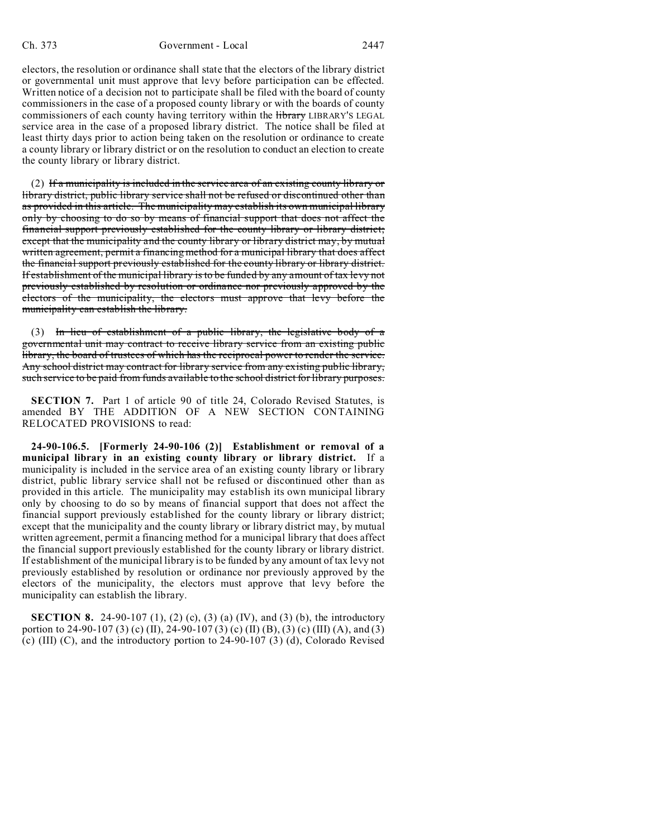electors, the resolution or ordinance shall state that the electors of the library district or governmental unit must approve that levy before participation can be effected. Written notice of a decision not to participate shall be filed with the board of county commissioners in the case of a proposed county library or with the boards of county commissioners of each county having territory within the *Hibrary LIBRARY'S LEGAL* service area in the case of a proposed library district. The notice shall be filed at least thirty days prior to action being taken on the resolution or ordinance to create a county library or library district or on the resolution to conduct an election to create the county library or library district.

 $(2)$  If a municipality is included in the service area of an existing county library or library district, public library service shall not be refused or discontinued other than as provided in this article. The municipality may establish its own municipal library only by choosing to do so by means of financial support that does not affect the financial support previously established for the county library or library district; except that the municipality and the county library or library district may, by mutual written agreement, permit a financing method for a municipal library that does affect the financial support previously established for the county library or library district. If establishment of the municipal library is to be funded by any amount of tax levy not previously established by resolution or ordinance nor previously approved by the electors of the municipality, the electors must approve that levy before the municipality can establish the library.

(3) In lieu of establishment of a public library, the legislative body of a governmental unit may contract to receive library service from an existing public library, the board of trustees of which has the reciprocal power to render the service. Any school district may contract for library service from any existing public library, such service to be paid from funds available to the school district for library purposes.

**SECTION 7.** Part 1 of article 90 of title 24, Colorado Revised Statutes, is amended BY THE ADDITION OF A NEW SECTION CONTAINING RELOCATED PROVISIONS to read:

**24-90-106.5. [Formerly 24-90-106 (2)] Establishment or removal of a municipal library in an existing county library or library district.** If a municipality is included in the service area of an existing county library or library district, public library service shall not be refused or discontinued other than as provided in this article. The municipality may establish its own municipal library only by choosing to do so by means of financial support that does not affect the financial support previously established for the county library or library district; except that the municipality and the county library or library district may, by mutual written agreement, permit a financing method for a municipal library that does affect the financial support previously established for the county library or library district. If establishment of the municipal library is to be funded by any amount of tax levy not previously established by resolution or ordinance nor previously approved by the electors of the municipality, the electors must approve that levy before the municipality can establish the library.

**SECTION 8.** 24-90-107 (1), (2) (c), (3) (a) (IV), and (3) (b), the introductory portion to 24-90-107 (3) (c) (II), 24-90-107 (3) (c) (II) (B), (3) (c) (III) (A), and (3) (c) (III) (C), and the introductory portion to 24-90-107 (3) (d), Colorado Revised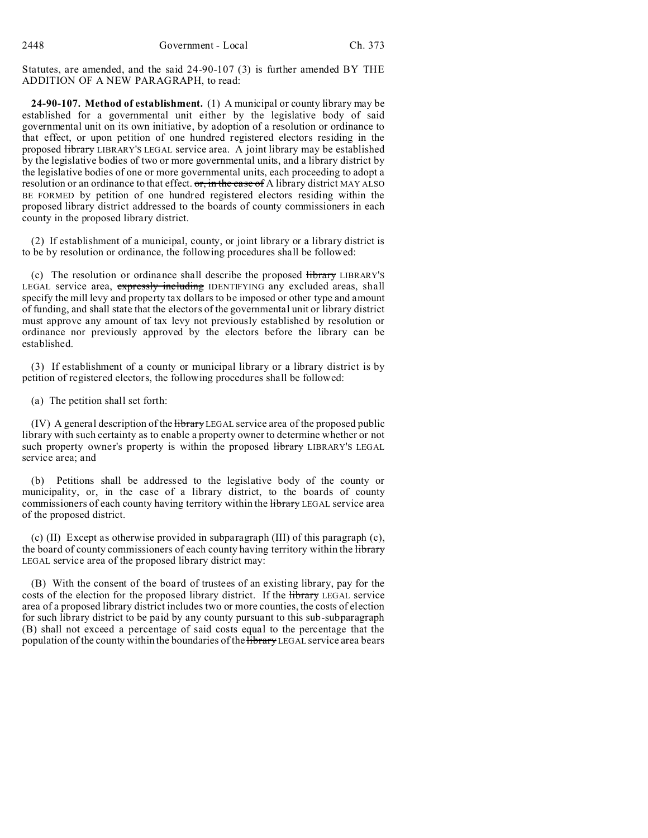Statutes, are amended, and the said 24-90-107 (3) is further amended BY THE ADDITION OF A NEW PARAGRAPH, to read:

**24-90-107. Method of establishment.** (1) A municipal or county library may be established for a governmental unit either by the legislative body of said governmental unit on its own initiative, by adoption of a resolution or ordinance to that effect, or upon petition of one hundred registered electors residing in the proposed library LIBRARY'S LEGAL service area. A joint library may be established by the legislative bodies of two or more governmental units, and a library district by the legislative bodies of one or more governmental units, each proceeding to adopt a resolution or an ordinance to that effect.  $\sigma$ , in the case of A library district MAY ALSO BE FORMED by petition of one hundred registered electors residing within the proposed library district addressed to the boards of county commissioners in each county in the proposed library district.

(2) If establishment of a municipal, county, or joint library or a library district is to be by resolution or ordinance, the following procedures shall be followed:

(c) The resolution or ordinance shall describe the proposed library LIBRARY'S LEGAL service area, expressly including IDENTIFYING any excluded areas, shall specify the mill levy and property tax dollars to be imposed or other type and amount of funding, and shall state that the electors of the governmental unit or library district must approve any amount of tax levy not previously established by resolution or ordinance nor previously approved by the electors before the library can be established.

(3) If establishment of a county or municipal library or a library district is by petition of registered electors, the following procedures shall be followed:

(a) The petition shall set forth:

(IV) A general description of the *Hibrary* LEGAL service area of the proposed public library with such certainty as to enable a property owner to determine whether or not such property owner's property is within the proposed library LIBRARY'S LEGAL service area; and

(b) Petitions shall be addressed to the legislative body of the county or municipality, or, in the case of a library district, to the boards of county commissioners of each county having territory within the library LEGAL service area of the proposed district.

(c) (II) Except as otherwise provided in subparagraph (III) of this paragraph (c), the board of county commissioners of each county having territory within the library LEGAL service area of the proposed library district may:

(B) With the consent of the board of trustees of an existing library, pay for the costs of the election for the proposed library district. If the library LEGAL service area of a proposed library district includes two or more counties, the costs of election for such library district to be paid by any county pursuant to this sub-subparagraph (B) shall not exceed a percentage of said costs equal to the percentage that the population of the county within the boundaries of the *Hibrary* LEGAL service area bears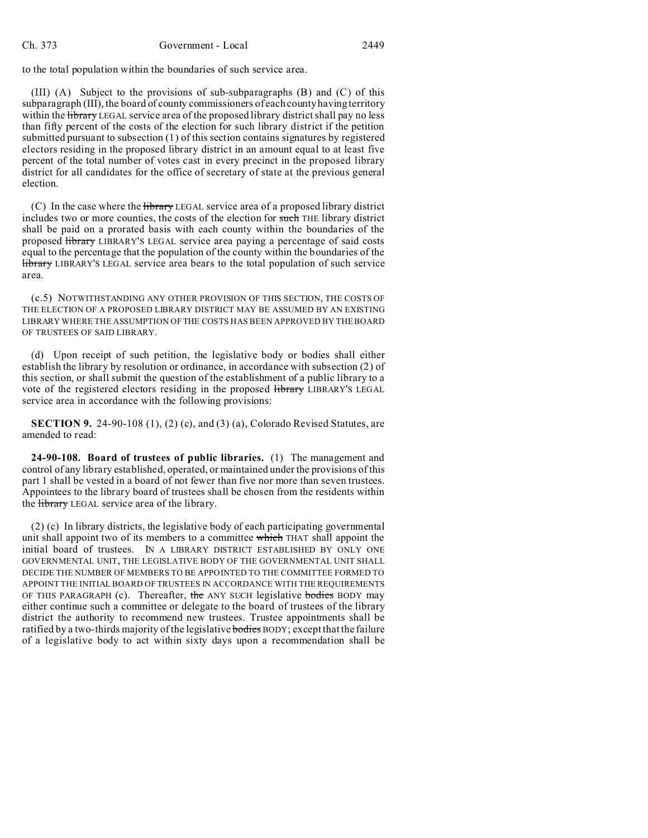to the total population within the boundaries of such service area.

(III) (A) Subject to the provisions of sub-subparagraphs (B) and (C) of this subparagraph (III), the board of county commissioners of each county having territory within the Hibrary LEGAL service area of the proposed library district shall pay no less than fifty percent of the costs of the election for such library district if the petition submitted pursuant to subsection (1) of this section contains signatures by registered electors residing in the proposed library district in an amount equal to at least five percent of the total number of votes cast in every precinct in the proposed library district for all candidates for the office of secretary of state at the previous general election.

 $(C)$  In the case where the <del>library</del> LEGAL service area of a proposed library district includes two or more counties, the costs of the election for such THE library district shall be paid on a prorated basis with each county within the boundaries of the proposed library LIBRARY'S LEGAL service area paying a percentage of said costs equal to the percentage that the population of the county within the boundaries of the library LIBRARY'S LEGAL service area bears to the total population of such service area.

(c.5) NOTWITHSTANDING ANY OTHER PROVISION OF THIS SECTION, THE COSTS OF THE ELECTION OF A PROPOSED LIBRARY DISTRICT MAY BE ASSUMED BY AN EXISTING LIBRARY WHERE THE ASSUMPTION OF THE COSTS HAS BEEN APPROVED BY THE BOARD OF TRUSTEES OF SAID LIBRARY.

(d) Upon receipt of such petition, the legislative body or bodies shall either establish the library by resolution or ordinance, in accordance with subsection (2) of this section, or shall submit the question of the establishment of a public library to a vote of the registered electors residing in the proposed library LIBRARY'S LEGAL service area in accordance with the following provisions:

**SECTION 9.** 24-90-108 (1), (2) (c), and (3) (a), Colorado Revised Statutes, are amended to read:

**24-90-108. Board of trustees of public libraries.** (1) The management and control of any library established, operated, or maintained under the provisions of this part 1 shall be vested in a board of not fewer than five nor more than seven trustees. Appointees to the library board of trustees shall be chosen from the residents within the *library* LEGAL service area of the library.

(2) (c) In library districts, the legislative body of each participating governmental unit shall appoint two of its members to a committee which THAT shall appoint the initial board of trustees. IN A LIBRARY DISTRICT ESTABLISHED BY ONLY ONE GOVERNMENTAL UNIT, THE LEGISLATIVE BODY OF THE GOVERNMENTAL UNIT SHALL DECIDE THE NUMBER OF MEMBERS TO BE APPOINTED TO THE COMMITTEE FORMED TO APPOINT THE INITIAL BOARD OF TRUSTEES IN ACCORDANCE WITH THE REQUIREMENTS OF THIS PARAGRAPH (c). Thereafter, the ANY SUCH legislative bodies BODY may either continue such a committee or delegate to the board of trustees of the library district the authority to recommend new trustees. Trustee appointments shall be ratified by a two-thirds majority of the legislative **bodies** BODY; except that the failure of a legislative body to act within sixty days upon a recommendation shall be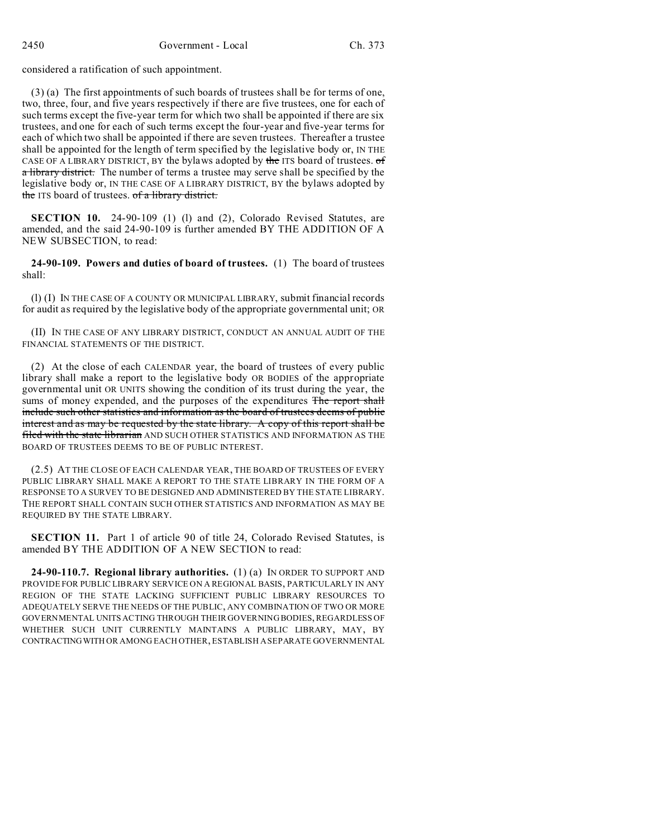considered a ratification of such appointment.

(3) (a) The first appointments of such boards of trustees shall be for terms of one, two, three, four, and five years respectively if there are five trustees, one for each of such terms except the five-year term for which two shall be appointed if there are six trustees, and one for each of such terms except the four-year and five-year terms for each of which two shall be appointed if there are seven trustees. Thereafter a trustee shall be appointed for the length of term specified by the legislative body or, IN THE CASE OF A LIBRARY DISTRICT, BY the bylaws adopted by the ITS board of trustees. of a library district. The number of terms a trustee may serve shall be specified by the legislative body or, IN THE CASE OF A LIBRARY DISTRICT, BY the bylaws adopted by the ITS board of trustees. of a library district.

**SECTION 10.** 24-90-109 (1) (1) and (2), Colorado Revised Statutes, are amended, and the said 24-90-109 is further amended BY THE ADDITION OF A NEW SUBSECTION, to read:

**24-90-109. Powers and duties of board of trustees.** (1) The board of trustees shall:

(l) (I) IN THE CASE OF A COUNTY OR MUNICIPAL LIBRARY, submit financial records for audit as required by the legislative body of the appropriate governmental unit; OR

(II) IN THE CASE OF ANY LIBRARY DISTRICT, CONDUCT AN ANNUAL AUDIT OF THE FINANCIAL STATEMENTS OF THE DISTRICT.

(2) At the close of each CALENDAR year, the board of trustees of every public library shall make a report to the legislative body OR BODIES of the appropriate governmental unit OR UNITS showing the condition of its trust during the year, the sums of money expended, and the purposes of the expenditures The report shall include such other statistics and information as the board of trustees deems of public interest and as may be requested by the state library. A copy of this report shall be filed with the state librarian AND SUCH OTHER STATISTICS AND INFORMATION AS THE BOARD OF TRUSTEES DEEMS TO BE OF PUBLIC INTEREST.

(2.5) AT THE CLOSE OF EACH CALENDAR YEAR, THE BOARD OF TRUSTEES OF EVERY PUBLIC LIBRARY SHALL MAKE A REPORT TO THE STATE LIBRARY IN THE FORM OF A RESPONSE TO A SURVEY TO BE DESIGNED AND ADMINISTERED BY THE STATE LIBRARY. THE REPORT SHALL CONTAIN SUCH OTHER STATISTICS AND INFORMATION AS MAY BE REQUIRED BY THE STATE LIBRARY.

**SECTION 11.** Part 1 of article 90 of title 24, Colorado Revised Statutes, is amended BY THE ADDITION OF A NEW SECTION to read:

**24-90-110.7. Regional library authorities.** (1) (a) IN ORDER TO SUPPORT AND PROVIDE FOR PUBLIC LIBRARY SERVICE ON A REGIONAL BASIS, PARTICULARLY IN ANY REGION OF THE STATE LACKING SUFFICIENT PUBLIC LIBRARY RESOURCES TO ADEQUATELY SERVE THE NEEDS OF THE PUBLIC, ANY COMBINATION OF TWO OR MORE GOVERNMENTAL UNITS ACTING THROUGH THEIR GOVERNING BODIES, REGARDLESS OF WHETHER SUCH UNIT CURRENTLY MAINTAINS A PUBLIC LIBRARY, MAY, BY CONTRACTINGWITH OR AMONG EACH OTHER, ESTABLISH A SEPARATE GOVERNMENTAL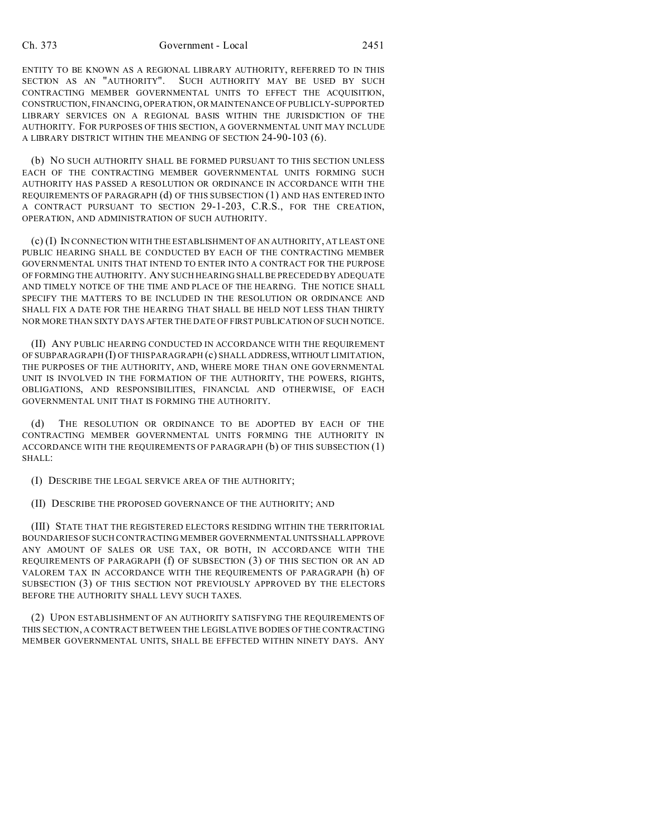ENTITY TO BE KNOWN AS A REGIONAL LIBRARY AUTHORITY, REFERRED TO IN THIS SECTION AS AN "AUTHORITY". SUCH AUTHORITY MAY BE USED BY SUCH CONTRACTING MEMBER GOVERNMENTAL UNITS TO EFFECT THE ACQUISITION, CONSTRUCTION, FINANCING, OPERATION, OR MAINTENANCE OF PUBLICLY-SUPPORTED LIBRARY SERVICES ON A REGIONAL BASIS WITHIN THE JURISDICTION OF THE AUTHORITY. FOR PURPOSES OF THIS SECTION, A GOVERNMENTAL UNIT MAY INCLUDE A LIBRARY DISTRICT WITHIN THE MEANING OF SECTION 24-90-103 (6).

(b) NO SUCH AUTHORITY SHALL BE FORMED PURSUANT TO THIS SECTION UNLESS EACH OF THE CONTRACTING MEMBER GOVERNMENTAL UNITS FORMING SUCH AUTHORITY HAS PASSED A RESOLUTION OR ORDINANCE IN ACCORDANCE WITH THE REQUIREMENTS OF PARAGRAPH (d) OF THIS SUBSECTION (1) AND HAS ENTERED INTO A CONTRACT PURSUANT TO SECTION 29-1-203, C.R.S., FOR THE CREATION, OPERATION, AND ADMINISTRATION OF SUCH AUTHORITY.

(c) (I) IN CONNECTION WITH THE ESTABLISHMENT OF AN AUTHORITY, AT LEAST ONE PUBLIC HEARING SHALL BE CONDUCTED BY EACH OF THE CONTRACTING MEMBER GOVERNMENTAL UNITS THAT INTEND TO ENTER INTO A CONTRACT FOR THE PURPOSE OF FORMING THE AUTHORITY. ANY SUCH HEARING SHALL BE PRECEDED BY ADEQUATE AND TIMELY NOTICE OF THE TIME AND PLACE OF THE HEARING. THE NOTICE SHALL SPECIFY THE MATTERS TO BE INCLUDED IN THE RESOLUTION OR ORDINANCE AND SHALL FIX A DATE FOR THE HEARING THAT SHALL BE HELD NOT LESS THAN THIRTY NOR MORE THAN SIXTY DAYS AFTER THE DATE OF FIRST PUBLICATION OF SUCH NOTICE.

(II) ANY PUBLIC HEARING CONDUCTED IN ACCORDANCE WITH THE REQUIREMENT OF SUBPARAGRAPH (I) OF THIS PARAGRAPH (c) SHALL ADDRESS,WITHOUT LIMITATION, THE PURPOSES OF THE AUTHORITY, AND, WHERE MORE THAN ONE GOVERNMENTAL UNIT IS INVOLVED IN THE FORMATION OF THE AUTHORITY, THE POWERS, RIGHTS, OBLIGATIONS, AND RESPONSIBILITIES, FINANCIAL AND OTHERWISE, OF EACH GOVERNMENTAL UNIT THAT IS FORMING THE AUTHORITY.

(d) THE RESOLUTION OR ORDINANCE TO BE ADOPTED BY EACH OF THE CONTRACTING MEMBER GOVERNMENTAL UNITS FORMING THE AUTHORITY IN ACCORDANCE WITH THE REQUIREMENTS OF PARAGRAPH (b) OF THIS SUBSECTION (1) SHALL:

(I) DESCRIBE THE LEGAL SERVICE AREA OF THE AUTHORITY;

(II) DESCRIBE THE PROPOSED GOVERNANCE OF THE AUTHORITY; AND

(III) STATE THAT THE REGISTERED ELECTORS RESIDING WITHIN THE TERRITORIAL BOUNDARIES OF SUCH CONTRACTING MEMBER GOVERNMENTALUNITSSHALLAPPROVE ANY AMOUNT OF SALES OR USE TAX, OR BOTH, IN ACCORDANCE WITH THE REQUIREMENTS OF PARAGRAPH (f) OF SUBSECTION (3) OF THIS SECTION OR AN AD VALOREM TAX IN ACCORDANCE WITH THE REQUIREMENTS OF PARAGRAPH (h) OF SUBSECTION (3) OF THIS SECTION NOT PREVIOUSLY APPROVED BY THE ELECTORS BEFORE THE AUTHORITY SHALL LEVY SUCH TAXES.

(2) UPON ESTABLISHMENT OF AN AUTHORITY SATISFYING THE REQUIREMENTS OF THIS SECTION, A CONTRACT BETWEEN THE LEGISLATIVE BODIES OF THE CONTRACTING MEMBER GOVERNMENTAL UNITS, SHALL BE EFFECTED WITHIN NINETY DAYS. ANY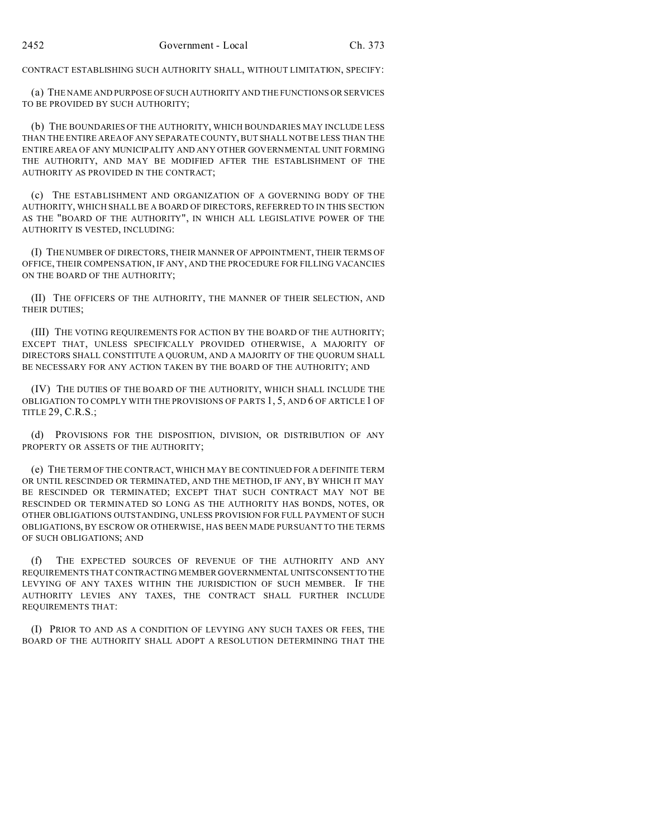CONTRACT ESTABLISHING SUCH AUTHORITY SHALL, WITHOUT LIMITATION, SPECIFY:

(a) THE NAME AND PURPOSE OFSUCH AUTHORITY AND THE FUNCTIONS OR SERVICES TO BE PROVIDED BY SUCH AUTHORITY;

(b) THE BOUNDARIES OF THE AUTHORITY, WHICH BOUNDARIES MAY INCLUDE LESS THAN THE ENTIRE AREA OF ANY SEPARATE COUNTY, BUT SHALL NOT BE LESS THAN THE ENTIRE AREA OF ANY MUNICIPALITY AND ANY OTHER GOVERNMENTAL UNIT FORMING THE AUTHORITY, AND MAY BE MODIFIED AFTER THE ESTABLISHMENT OF THE AUTHORITY AS PROVIDED IN THE CONTRACT;

(c) THE ESTABLISHMENT AND ORGANIZATION OF A GOVERNING BODY OF THE AUTHORITY, WHICH SHALL BE A BOARD OF DIRECTORS, REFERRED TO IN THIS SECTION AS THE "BOARD OF THE AUTHORITY", IN WHICH ALL LEGISLATIVE POWER OF THE AUTHORITY IS VESTED, INCLUDING:

(I) THE NUMBER OF DIRECTORS, THEIR MANNER OF APPOINTMENT, THEIR TERMS OF OFFICE, THEIR COMPENSATION, IF ANY, AND THE PROCEDURE FOR FILLING VACANCIES ON THE BOARD OF THE AUTHORITY;

(II) THE OFFICERS OF THE AUTHORITY, THE MANNER OF THEIR SELECTION, AND THEIR DUTIES;

(III) THE VOTING REQUIREMENTS FOR ACTION BY THE BOARD OF THE AUTHORITY; EXCEPT THAT, UNLESS SPECIFICALLY PROVIDED OTHERWISE, A MAJORITY OF DIRECTORS SHALL CONSTITUTE A QUORUM, AND A MAJORITY OF THE QUORUM SHALL BE NECESSARY FOR ANY ACTION TAKEN BY THE BOARD OF THE AUTHORITY; AND

(IV) THE DUTIES OF THE BOARD OF THE AUTHORITY, WHICH SHALL INCLUDE THE OBLIGATION TO COMPLY WITH THE PROVISIONS OF PARTS 1, 5, AND 6 OF ARTICLE 1 OF TITLE 29, C.R.S.;

(d) PROVISIONS FOR THE DISPOSITION, DIVISION, OR DISTRIBUTION OF ANY PROPERTY OR ASSETS OF THE AUTHORITY;

(e) THE TERM OF THE CONTRACT, WHICH MAY BE CONTINUED FOR A DEFINITE TERM OR UNTIL RESCINDED OR TERMINATED, AND THE METHOD, IF ANY, BY WHICH IT MAY BE RESCINDED OR TERMINATED; EXCEPT THAT SUCH CONTRACT MAY NOT BE RESCINDED OR TERMINATED SO LONG AS THE AUTHORITY HAS BONDS, NOTES, OR OTHER OBLIGATIONS OUTSTANDING, UNLESS PROVISION FOR FULL PAYMENT OF SUCH OBLIGATIONS, BY ESCROW OR OTHERWISE, HAS BEEN MADE PURSUANT TO THE TERMS OF SUCH OBLIGATIONS; AND

(f) THE EXPECTED SOURCES OF REVENUE OF THE AUTHORITY AND ANY REQUIREMENTS THAT CONTRACTING MEMBER GOVERNMENTAL UNITSCONSENTTO THE LEVYING OF ANY TAXES WITHIN THE JURISDICTION OF SUCH MEMBER. IF THE AUTHORITY LEVIES ANY TAXES, THE CONTRACT SHALL FURTHER INCLUDE REQUIREMENTS THAT:

(I) PRIOR TO AND AS A CONDITION OF LEVYING ANY SUCH TAXES OR FEES, THE BOARD OF THE AUTHORITY SHALL ADOPT A RESOLUTION DETERMINING THAT THE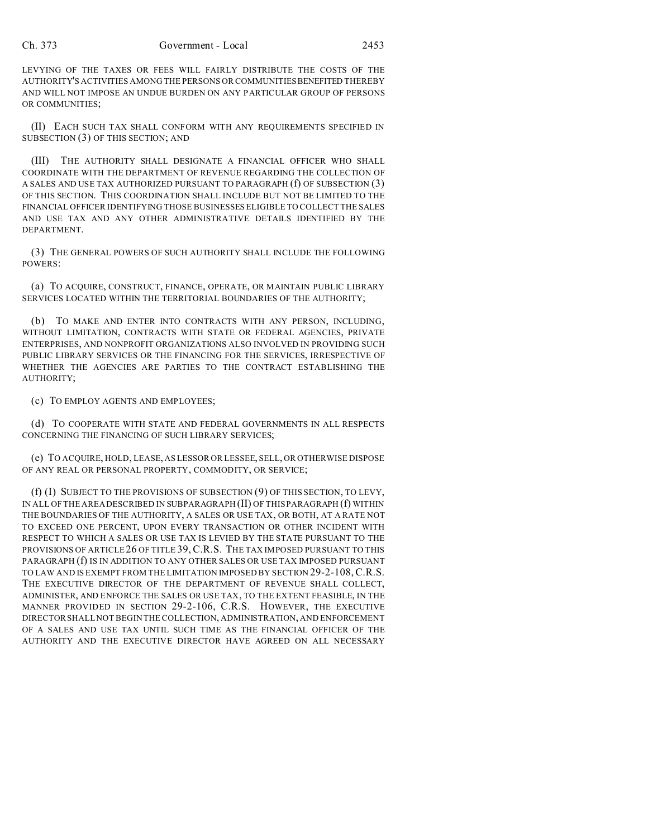LEVYING OF THE TAXES OR FEES WILL FAIRLY DISTRIBUTE THE COSTS OF THE AUTHORITY'S ACTIVITIES AMONG THE PERSONS OR COMMUNITIES BENEFITED THEREBY AND WILL NOT IMPOSE AN UNDUE BURDEN ON ANY PARTICULAR GROUP OF PERSONS OR COMMUNITIES;

(II) EACH SUCH TAX SHALL CONFORM WITH ANY REQUIREMENTS SPECIFIED IN SUBSECTION (3) OF THIS SECTION; AND

(III) THE AUTHORITY SHALL DESIGNATE A FINANCIAL OFFICER WHO SHALL COORDINATE WITH THE DEPARTMENT OF REVENUE REGARDING THE COLLECTION OF A SALES AND USE TAX AUTHORIZED PURSUANT TO PARAGRAPH  $(f)$  OF SUBSECTION  $(3)$ OF THIS SECTION. THIS COORDINATION SHALL INCLUDE BUT NOT BE LIMITED TO THE FINANCIAL OFFICER IDENTIFYING THOSE BUSINESSES ELIGIBLE TO COLLECT THE SALES AND USE TAX AND ANY OTHER ADMINISTRATIVE DETAILS IDENTIFIED BY THE DEPARTMENT.

(3) THE GENERAL POWERS OF SUCH AUTHORITY SHALL INCLUDE THE FOLLOWING POWERS:

(a) TO ACQUIRE, CONSTRUCT, FINANCE, OPERATE, OR MAINTAIN PUBLIC LIBRARY SERVICES LOCATED WITHIN THE TERRITORIAL BOUNDARIES OF THE AUTHORITY;

(b) TO MAKE AND ENTER INTO CONTRACTS WITH ANY PERSON, INCLUDING, WITHOUT LIMITATION, CONTRACTS WITH STATE OR FEDERAL AGENCIES, PRIVATE ENTERPRISES, AND NONPROFIT ORGANIZATIONS ALSO INVOLVED IN PROVIDING SUCH PUBLIC LIBRARY SERVICES OR THE FINANCING FOR THE SERVICES, IRRESPECTIVE OF WHETHER THE AGENCIES ARE PARTIES TO THE CONTRACT ESTABLISHING THE AUTHORITY;

(c) TO EMPLOY AGENTS AND EMPLOYEES;

(d) TO COOPERATE WITH STATE AND FEDERAL GOVERNMENTS IN ALL RESPECTS CONCERNING THE FINANCING OF SUCH LIBRARY SERVICES;

(e) TO ACQUIRE, HOLD, LEASE, AS LESSOR OR LESSEE, SELL, OR OTHERWISE DISPOSE OF ANY REAL OR PERSONAL PROPERTY, COMMODITY, OR SERVICE;

(f) (I) SUBJECT TO THE PROVISIONS OF SUBSECTION (9) OF THIS SECTION, TO LEVY, IN ALL OF THE AREA DESCRIBED IN SUBPARAGRAPH (II) OF THIS PARAGRAPH (f) WITHIN THE BOUNDARIES OF THE AUTHORITY, A SALES OR USE TAX, OR BOTH, AT A RATE NOT TO EXCEED ONE PERCENT, UPON EVERY TRANSACTION OR OTHER INCIDENT WITH RESPECT TO WHICH A SALES OR USE TAX IS LEVIED BY THE STATE PURSUANT TO THE PROVISIONS OF ARTICLE 26 OF TITLE 39, C.R.S. THE TAX IMPOSED PURSUANT TO THIS PARAGRAPH (f) IS IN ADDITION TO ANY OTHER SALES OR USE TAX IMPOSED PURSUANT TO LAW AND IS EXEMPT FROM THE LIMITATION IMPOSED BY SECTION 29-2-108,C.R.S. THE EXECUTIVE DIRECTOR OF THE DEPARTMENT OF REVENUE SHALL COLLECT, ADMINISTER, AND ENFORCE THE SALES OR USE TAX, TO THE EXTENT FEASIBLE, IN THE MANNER PROVIDED IN SECTION 29-2-106, C.R.S. HOWEVER, THE EXECUTIVE DIRECTOR SHALL NOT BEGIN THE COLLECTION, ADMINISTRATION, AND ENFORCEMENT OF A SALES AND USE TAX UNTIL SUCH TIME AS THE FINANCIAL OFFICER OF THE AUTHORITY AND THE EXECUTIVE DIRECTOR HAVE AGREED ON ALL NECESSARY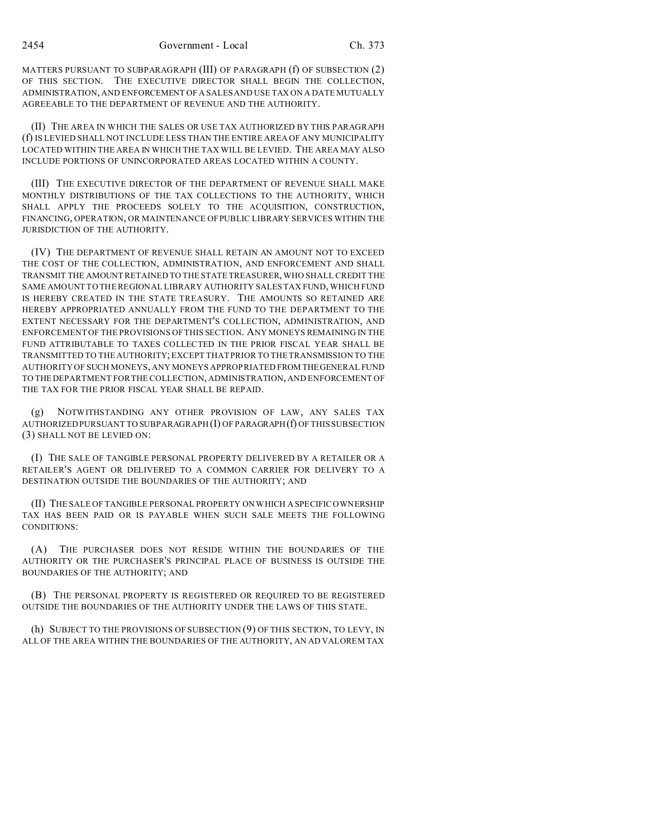MATTERS PURSUANT TO SUBPARAGRAPH (III) OF PARAGRAPH (f) OF SUBSECTION (2) OF THIS SECTION. THE EXECUTIVE DIRECTOR SHALL BEGIN THE COLLECTION, ADMINISTRATION, AND ENFORCEMENT OF A SALES AND USE TAX ON A DATE MUTUALLY AGREEABLE TO THE DEPARTMENT OF REVENUE AND THE AUTHORITY.

(II) THE AREA IN WHICH THE SALES OR USE TAX AUTHORIZED BY THIS PARAGRAPH (f) IS LEVIED SHALL NOT INCLUDE LESS THAN THE ENTIRE AREA OF ANY MUNICIPALITY LOCATED WITHIN THE AREA IN WHICH THE TAX WILL BE LEVIED. THE AREA MAY ALSO INCLUDE PORTIONS OF UNINCORPORATED AREAS LOCATED WITHIN A COUNTY.

(III) THE EXECUTIVE DIRECTOR OF THE DEPARTMENT OF REVENUE SHALL MAKE MONTHLY DISTRIBUTIONS OF THE TAX COLLECTIONS TO THE AUTHORITY, WHICH SHALL APPLY THE PROCEEDS SOLELY TO THE ACQUISITION, CONSTRUCTION, FINANCING, OPERATION, OR MAINTENANCE OF PUBLIC LIBRARY SERVICES WITHIN THE JURISDICTION OF THE AUTHORITY.

(IV) THE DEPARTMENT OF REVENUE SHALL RETAIN AN AMOUNT NOT TO EXCEED THE COST OF THE COLLECTION, ADMINISTRATION, AND ENFORCEMENT AND SHALL TRANSMIT THE AMOUNT RETAINED TO THE STATE TREASURER, WHO SHALL CREDIT THE SAME AMOUNT TO THE REGIONAL LIBRARY AUTHORITY SALES TAX FUND, WHICH FUND IS HEREBY CREATED IN THE STATE TREASURY. THE AMOUNTS SO RETAINED ARE HEREBY APPROPRIATED ANNUALLY FROM THE FUND TO THE DEPARTMENT TO THE EXTENT NECESSARY FOR THE DEPARTMENT'S COLLECTION, ADMINISTRATION, AND ENFORCEMENT OF THE PROVISIONS OF THIS SECTION. ANY MONEYS REMAINING IN THE FUND ATTRIBUTABLE TO TAXES COLLECTED IN THE PRIOR FISCAL YEAR SHALL BE TRANSMITTED TO THE AUTHORITY; EXCEPT THAT PRIOR TO THE TRANSMISSION TO THE AUTHORITY OF SUCH MONEYS, ANY MONEYS APPROPRIATED FROM THEGENERAL FUND TO THEDEPARTMENT FOR THE COLLECTION, ADMINISTRATION, AND ENFORCEMENT OF THE TAX FOR THE PRIOR FISCAL YEAR SHALL BE REPAID.

(g) NOTWITHSTANDING ANY OTHER PROVISION OF LAW, ANY SALES TAX AUTHORIZED PURSUANT TO SUBPARAGRAPH (I) OF PARAGRAPH(f) OF THIS SUBSECTION (3) SHALL NOT BE LEVIED ON:

(I) THE SALE OF TANGIBLE PERSONAL PROPERTY DELIVERED BY A RETAILER OR A RETAILER'S AGENT OR DELIVERED TO A COMMON CARRIER FOR DELIVERY TO A DESTINATION OUTSIDE THE BOUNDARIES OF THE AUTHORITY; AND

(II) THE SALE OF TANGIBLE PERSONAL PROPERTY ON WHICH A SPECIFIC OWNERSHIP TAX HAS BEEN PAID OR IS PAYABLE WHEN SUCH SALE MEETS THE FOLLOWING CONDITIONS:

(A) THE PURCHASER DOES NOT RESIDE WITHIN THE BOUNDARIES OF THE AUTHORITY OR THE PURCHASER'S PRINCIPAL PLACE OF BUSINESS IS OUTSIDE THE BOUNDARIES OF THE AUTHORITY; AND

(B) THE PERSONAL PROPERTY IS REGISTERED OR REQUIRED TO BE REGISTERED OUTSIDE THE BOUNDARIES OF THE AUTHORITY UNDER THE LAWS OF THIS STATE.

(h) SUBJECT TO THE PROVISIONS OF SUBSECTION (9) OF THIS SECTION, TO LEVY, IN ALL OF THE AREA WITHIN THE BOUNDARIES OF THE AUTHORITY, AN AD VALOREM TAX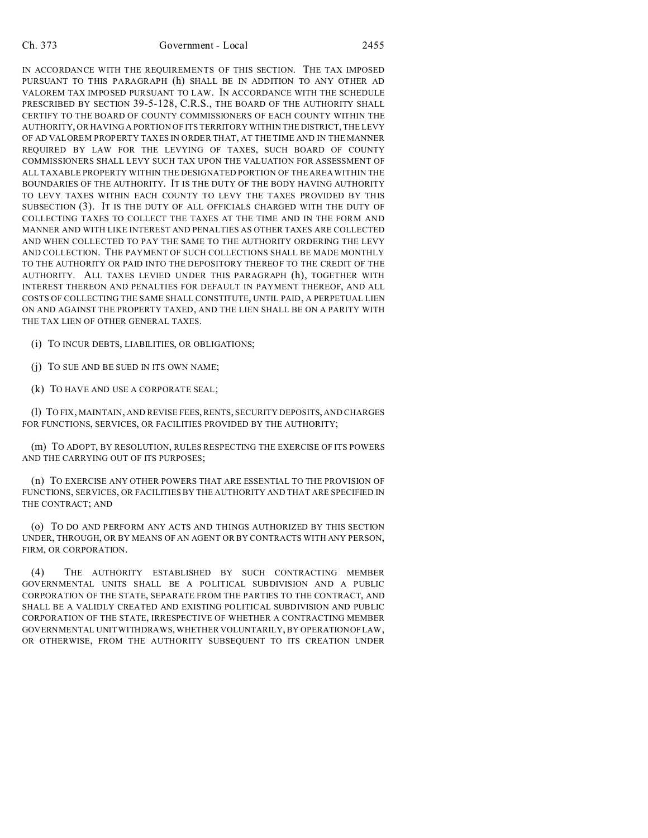IN ACCORDANCE WITH THE REQUIREMENTS OF THIS SECTION. THE TAX IMPOSED PURSUANT TO THIS PARAGRAPH (h) SHALL BE IN ADDITION TO ANY OTHER AD VALOREM TAX IMPOSED PURSUANT TO LAW. IN ACCORDANCE WITH THE SCHEDULE PRESCRIBED BY SECTION 39-5-128, C.R.S., THE BOARD OF THE AUTHORITY SHALL CERTIFY TO THE BOARD OF COUNTY COMMISSIONERS OF EACH COUNTY WITHIN THE AUTHORITY, OR HAVING A PORTION OF ITS TERRITORY WITHIN THE DISTRICT, THE LEVY OF AD VALOREM PROPERTY TAXES IN ORDER THAT, AT THE TIME AND IN THE MANNER REQUIRED BY LAW FOR THE LEVYING OF TAXES, SUCH BOARD OF COUNTY COMMISSIONERS SHALL LEVY SUCH TAX UPON THE VALUATION FOR ASSESSMENT OF ALL TAXABLE PROPERTY WITHIN THE DESIGNATED PORTION OF THE AREA WITHIN THE BOUNDARIES OF THE AUTHORITY. IT IS THE DUTY OF THE BODY HAVING AUTHORITY TO LEVY TAXES WITHIN EACH COUNTY TO LEVY THE TAXES PROVIDED BY THIS SUBSECTION (3). IT IS THE DUTY OF ALL OFFICIALS CHARGED WITH THE DUTY OF COLLECTING TAXES TO COLLECT THE TAXES AT THE TIME AND IN THE FORM AND MANNER AND WITH LIKE INTEREST AND PENALTIES AS OTHER TAXES ARE COLLECTED AND WHEN COLLECTED TO PAY THE SAME TO THE AUTHORITY ORDERING THE LEVY AND COLLECTION. THE PAYMENT OF SUCH COLLECTIONS SHALL BE MADE MONTHLY TO THE AUTHORITY OR PAID INTO THE DEPOSITORY THEREOF TO THE CREDIT OF THE AUTHORITY. ALL TAXES LEVIED UNDER THIS PARAGRAPH (h), TOGETHER WITH INTEREST THEREON AND PENALTIES FOR DEFAULT IN PAYMENT THEREOF, AND ALL COSTS OF COLLECTING THE SAME SHALL CONSTITUTE, UNTIL PAID, A PERPETUAL LIEN ON AND AGAINST THE PROPERTY TAXED, AND THE LIEN SHALL BE ON A PARITY WITH THE TAX LIEN OF OTHER GENERAL TAXES.

(i) TO INCUR DEBTS, LIABILITIES, OR OBLIGATIONS;

(j) TO SUE AND BE SUED IN ITS OWN NAME;

(k) TO HAVE AND USE A CORPORATE SEAL;

(l) TO FIX, MAINTAIN, AND REVISE FEES, RENTS, SECURITY DEPOSITS, AND CHARGES FOR FUNCTIONS, SERVICES, OR FACILITIES PROVIDED BY THE AUTHORITY;

(m) TO ADOPT, BY RESOLUTION, RULES RESPECTING THE EXERCISE OF ITS POWERS AND THE CARRYING OUT OF ITS PURPOSES;

(n) TO EXERCISE ANY OTHER POWERS THAT ARE ESSENTIAL TO THE PROVISION OF FUNCTIONS, SERVICES, OR FACILITIES BY THE AUTHORITY AND THAT ARE SPECIFIED IN THE CONTRACT; AND

(o) TO DO AND PERFORM ANY ACTS AND THINGS AUTHORIZED BY THIS SECTION UNDER, THROUGH, OR BY MEANS OF AN AGENT OR BY CONTRACTS WITH ANY PERSON, FIRM, OR CORPORATION.

(4) THE AUTHORITY ESTABLISHED BY SUCH CONTRACTING MEMBER GOVERNMENTAL UNITS SHALL BE A POLITICAL SUBDIVISION AND A PUBLIC CORPORATION OF THE STATE, SEPARATE FROM THE PARTIES TO THE CONTRACT, AND SHALL BE A VALIDLY CREATED AND EXISTING POLITICAL SUBDIVISION AND PUBLIC CORPORATION OF THE STATE, IRRESPECTIVE OF WHETHER A CONTRACTING MEMBER GOVERNMENTAL UNIT WITHDRAWS, WHETHER VOLUNTARILY, BY OPERATIONOF LAW, OR OTHERWISE, FROM THE AUTHORITY SUBSEQUENT TO ITS CREATION UNDER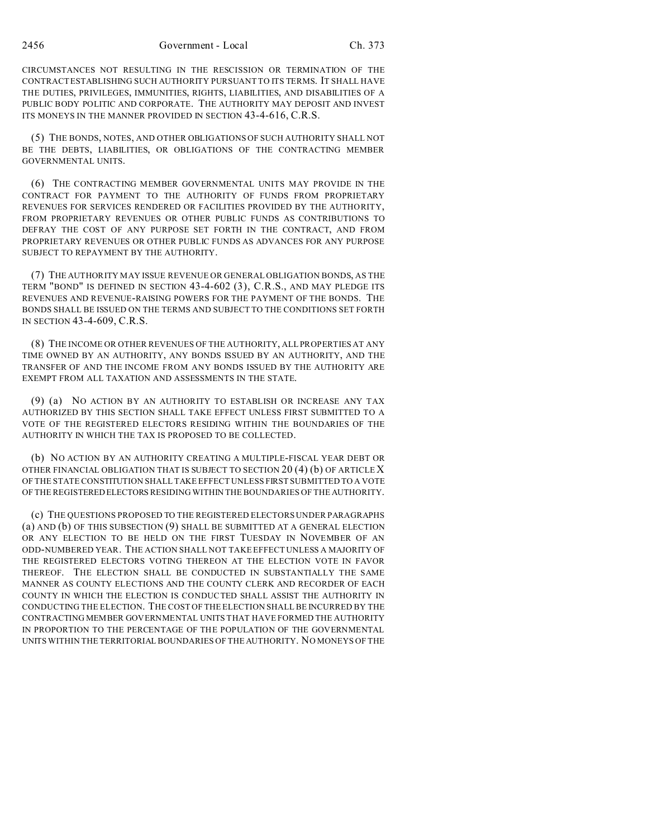CIRCUMSTANCES NOT RESULTING IN THE RESCISSION OR TERMINATION OF THE CONTRACT ESTABLISHING SUCH AUTHORITY PURSUANT TO ITS TERMS. IT SHALL HAVE THE DUTIES, PRIVILEGES, IMMUNITIES, RIGHTS, LIABILITIES, AND DISABILITIES OF A PUBLIC BODY POLITIC AND CORPORATE. THE AUTHORITY MAY DEPOSIT AND INVEST ITS MONEYS IN THE MANNER PROVIDED IN SECTION 43-4-616, C.R.S.

(5) THE BONDS, NOTES, AND OTHER OBLIGATIONS OF SUCH AUTHORITY SHALL NOT BE THE DEBTS, LIABILITIES, OR OBLIGATIONS OF THE CONTRACTING MEMBER GOVERNMENTAL UNITS.

(6) THE CONTRACTING MEMBER GOVERNMENTAL UNITS MAY PROVIDE IN THE CONTRACT FOR PAYMENT TO THE AUTHORITY OF FUNDS FROM PROPRIETARY REVENUES FOR SERVICES RENDERED OR FACILITIES PROVIDED BY THE AUTHORITY, FROM PROPRIETARY REVENUES OR OTHER PUBLIC FUNDS AS CONTRIBUTIONS TO DEFRAY THE COST OF ANY PURPOSE SET FORTH IN THE CONTRACT, AND FROM PROPRIETARY REVENUES OR OTHER PUBLIC FUNDS AS ADVANCES FOR ANY PURPOSE SUBJECT TO REPAYMENT BY THE AUTHORITY.

(7) THE AUTHORITY MAY ISSUE REVENUE OR GENERAL OBLIGATION BONDS, AS THE TERM "BOND" IS DEFINED IN SECTION 43-4-602 (3), C.R.S., AND MAY PLEDGE ITS REVENUES AND REVENUE-RAISING POWERS FOR THE PAYMENT OF THE BONDS. THE BONDS SHALL BE ISSUED ON THE TERMS AND SUBJECT TO THE CONDITIONS SET FORTH IN SECTION 43-4-609, C.R.S.

(8) THE INCOME OR OTHER REVENUES OF THE AUTHORITY, ALL PROPERTIES AT ANY TIME OWNED BY AN AUTHORITY, ANY BONDS ISSUED BY AN AUTHORITY, AND THE TRANSFER OF AND THE INCOME FROM ANY BONDS ISSUED BY THE AUTHORITY ARE EXEMPT FROM ALL TAXATION AND ASSESSMENTS IN THE STATE.

(9) (a) NO ACTION BY AN AUTHORITY TO ESTABLISH OR INCREASE ANY TAX AUTHORIZED BY THIS SECTION SHALL TAKE EFFECT UNLESS FIRST SUBMITTED TO A VOTE OF THE REGISTERED ELECTORS RESIDING WITHIN THE BOUNDARIES OF THE AUTHORITY IN WHICH THE TAX IS PROPOSED TO BE COLLECTED.

(b) NO ACTION BY AN AUTHORITY CREATING A MULTIPLE-FISCAL YEAR DEBT OR OTHER FINANCIAL OBLIGATION THAT IS SUBJECT TO SECTION 20 (4) (b) OF ARTICLE X OF THE STATE CONSTITUTION SHALL TAKE EFFECT UNLESS FIRST SUBMITTED TO A VOTE OF THE REGISTERED ELECTORS RESIDING WITHIN THE BOUNDARIES OF THE AUTHORITY.

(c) THE QUESTIONS PROPOSED TO THE REGISTERED ELECTORS UNDER PARAGRAPHS (a) AND (b) OF THIS SUBSECTION (9) SHALL BE SUBMITTED AT A GENERAL ELECTION OR ANY ELECTION TO BE HELD ON THE FIRST TUESDAY IN NOVEMBER OF AN ODD-NUMBERED YEAR. THE ACTION SHALL NOT TAKE EFFECT UNLESS A MAJORITY OF THE REGISTERED ELECTORS VOTING THEREON AT THE ELECTION VOTE IN FAVOR THEREOF. THE ELECTION SHALL BE CONDUCTED IN SUBSTANTIALLY THE SAME MANNER AS COUNTY ELECTIONS AND THE COUNTY CLERK AND RECORDER OF EACH COUNTY IN WHICH THE ELECTION IS CONDUCTED SHALL ASSIST THE AUTHORITY IN CONDUCTING THE ELECTION. THE COST OF THE ELECTION SHALL BE INCURRED BY THE CONTRACTING MEMBER GOVERNMENTAL UNITS THAT HAVE FORMED THE AUTHORITY IN PROPORTION TO THE PERCENTAGE OF THE POPULATION OF THE GOVERNMENTAL UNITS WITHIN THE TERRITORIAL BOUNDARIES OF THE AUTHORITY. NO MONEYS OF THE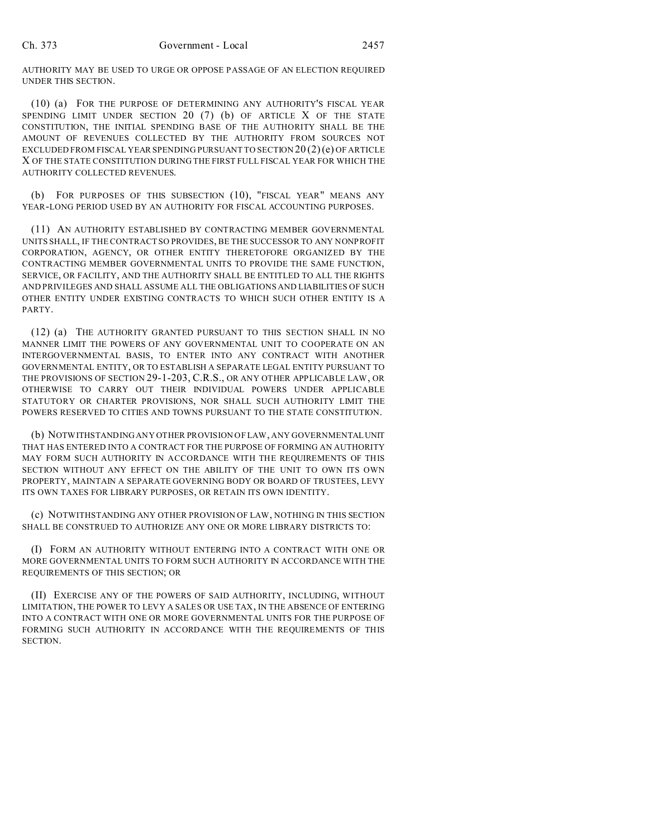AUTHORITY MAY BE USED TO URGE OR OPPOSE PASSAGE OF AN ELECTION REQUIRED UNDER THIS SECTION.

(10) (a) FOR THE PURPOSE OF DETERMINING ANY AUTHORITY'S FISCAL YEAR SPENDING LIMIT UNDER SECTION 20 (7) (b) OF ARTICLE X OF THE STATE CONSTITUTION, THE INITIAL SPENDING BASE OF THE AUTHORITY SHALL BE THE AMOUNT OF REVENUES COLLECTED BY THE AUTHORITY FROM SOURCES NOT EXCLUDED FROM FISCAL YEAR SPENDING PURSUANT TO SECTION  $20(2)(e)$  OF ARTICLE X OF THE STATE CONSTITUTION DURING THE FIRST FULL FISCAL YEAR FOR WHICH THE AUTHORITY COLLECTED REVENUES.

(b) FOR PURPOSES OF THIS SUBSECTION (10), "FISCAL YEAR" MEANS ANY YEAR-LONG PERIOD USED BY AN AUTHORITY FOR FISCAL ACCOUNTING PURPOSES.

(11) AN AUTHORITY ESTABLISHED BY CONTRACTING MEMBER GOVERNMENTAL UNITS SHALL, IF THE CONTRACT SO PROVIDES, BE THE SUCCESSOR TO ANY NONPROFIT CORPORATION, AGENCY, OR OTHER ENTITY THERETOFORE ORGANIZED BY THE CONTRACTING MEMBER GOVERNMENTAL UNITS TO PROVIDE THE SAME FUNCTION, SERVICE, OR FACILITY, AND THE AUTHORITY SHALL BE ENTITLED TO ALL THE RIGHTS AND PRIVILEGES AND SHALL ASSUME ALL THE OBLIGATIONS AND LIABILITIES OF SUCH OTHER ENTITY UNDER EXISTING CONTRACTS TO WHICH SUCH OTHER ENTITY IS A PARTY.

(12) (a) THE AUTHORITY GRANTED PURSUANT TO THIS SECTION SHALL IN NO MANNER LIMIT THE POWERS OF ANY GOVERNMENTAL UNIT TO COOPERATE ON AN INTERGOVERNMENTAL BASIS, TO ENTER INTO ANY CONTRACT WITH ANOTHER GOVERNMENTAL ENTITY, OR TO ESTABLISH A SEPARATE LEGAL ENTITY PURSUANT TO THE PROVISIONS OF SECTION 29-1-203, C.R.S., OR ANY OTHER APPLICABLE LAW, OR OTHERWISE TO CARRY OUT THEIR INDIVIDUAL POWERS UNDER APPLICABLE STATUTORY OR CHARTER PROVISIONS, NOR SHALL SUCH AUTHORITY LIMIT THE POWERS RESERVED TO CITIES AND TOWNS PURSUANT TO THE STATE CONSTITUTION.

(b) NOTWITHSTANDING ANY OTHER PROVISION OF LAW, ANY GOVERNMENTALUNIT THAT HAS ENTERED INTO A CONTRACT FOR THE PURPOSE OF FORMING AN AUTHORITY MAY FORM SUCH AUTHORITY IN ACCORDANCE WITH THE REQUIREMENTS OF THIS SECTION WITHOUT ANY EFFECT ON THE ABILITY OF THE UNIT TO OWN ITS OWN PROPERTY, MAINTAIN A SEPARATE GOVERNING BODY OR BOARD OF TRUSTEES, LEVY ITS OWN TAXES FOR LIBRARY PURPOSES, OR RETAIN ITS OWN IDENTITY.

(c) NOTWITHSTANDING ANY OTHER PROVISION OF LAW, NOTHING IN THIS SECTION SHALL BE CONSTRUED TO AUTHORIZE ANY ONE OR MORE LIBRARY DISTRICTS TO:

(I) FORM AN AUTHORITY WITHOUT ENTERING INTO A CONTRACT WITH ONE OR MORE GOVERNMENTAL UNITS TO FORM SUCH AUTHORITY IN ACCORDANCE WITH THE REQUIREMENTS OF THIS SECTION; OR

(II) EXERCISE ANY OF THE POWERS OF SAID AUTHORITY, INCLUDING, WITHOUT LIMITATION, THE POWER TO LEVY A SALES OR USE TAX, IN THE ABSENCE OF ENTERING INTO A CONTRACT WITH ONE OR MORE GOVERNMENTAL UNITS FOR THE PURPOSE OF FORMING SUCH AUTHORITY IN ACCORDANCE WITH THE REQUIREMENTS OF THIS SECTION.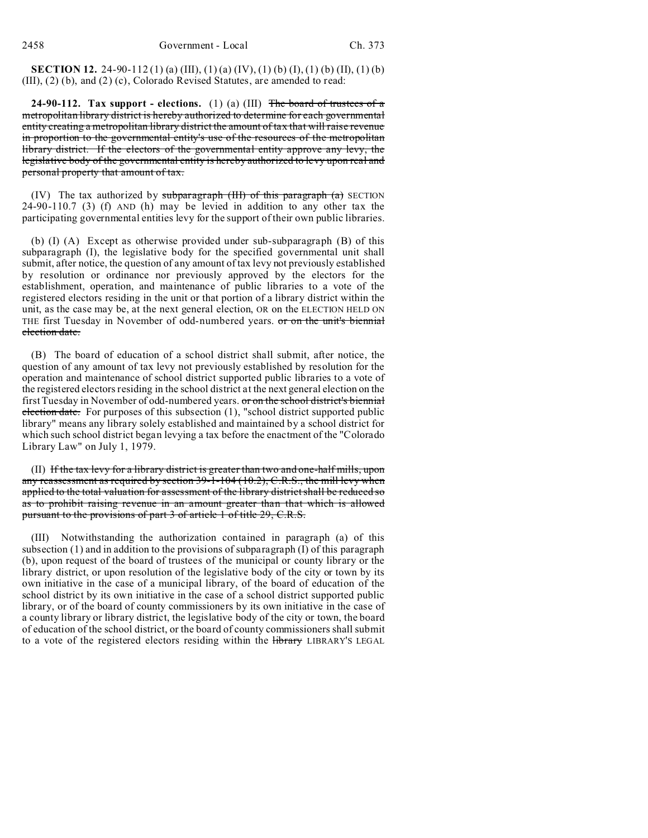**SECTION 12.** 24-90-112(1)(a) (III), (1)(a) (IV), (1)(b) (I), (1)(b) (II), (1)(b) (III), (2) (b), and (2) (c), Colorado Revised Statutes, are amended to read:

**24-90-112. Tax support - elections.** (1) (a) (III) The board of trustees of a metropolitan library district is hereby authorized to determine for each governmental entity creating a metropolitan library district the amount of tax that will raise revenue in proportion to the governmental entity's use of the resources of the metropolitan library district. If the electors of the governmental entity approve any levy, the legislative body of the governmental entity is hereby authorized to levy upon real and personal property that amount of tax.

(IV) The tax authorized by subparagraph  $(HI)$  of this paragraph  $(a)$  SECTION 24-90-110.7 (3) (f) AND (h) may be levied in addition to any other tax the participating governmental entities levy for the support of their own public libraries.

(b) (I) (A) Except as otherwise provided under sub-subparagraph (B) of this subparagraph (I), the legislative body for the specified governmental unit shall submit, after notice, the question of any amount of tax levy not previously established by resolution or ordinance nor previously approved by the electors for the establishment, operation, and maintenance of public libraries to a vote of the registered electors residing in the unit or that portion of a library district within the unit, as the case may be, at the next general election, OR on the ELECTION HELD ON THE first Tuesday in November of odd-numbered years. or on the unit's biennial election date.

(B) The board of education of a school district shall submit, after notice, the question of any amount of tax levy not previously established by resolution for the operation and maintenance of school district supported public libraries to a vote of the registered electors residing in the school district at the next general election on the first Tuesday in November of odd-numbered years. or on the school district's biennial election date. For purposes of this subsection (1), "school district supported public library" means any library solely established and maintained by a school district for which such school district began levying a tax before the enactment of the "Colorado Library Law" on July 1, 1979.

(II) If the tax levy for a library district is greater than two and one-half mills, upon any reassessment as required by section 39-1-104 (10.2), C.R.S., the mill levy when applied to the total valuation for assessment of the library district shall be reduced so as to prohibit raising revenue in an amount greater than that which is allowed pursuant to the provisions of part 3 of article 1 of title 29, C.R.S.

(III) Notwithstanding the authorization contained in paragraph (a) of this subsection (1) and in addition to the provisions of subparagraph (I) of this paragraph (b), upon request of the board of trustees of the municipal or county library or the library district, or upon resolution of the legislative body of the city or town by its own initiative in the case of a municipal library, of the board of education of the school district by its own initiative in the case of a school district supported public library, or of the board of county commissioners by its own initiative in the case of a county library or library district, the legislative body of the city or town, the board of education of the school district, or the board of county commissioners shall submit to a vote of the registered electors residing within the **library** LIBRARY'S LEGAL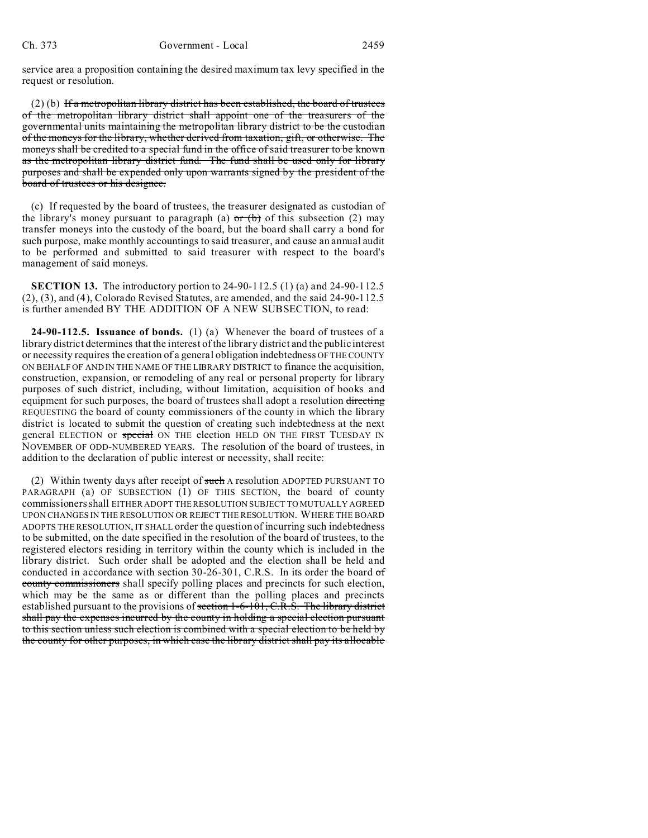service area a proposition containing the desired maximum tax levy specified in the request or resolution.

(2) (b) If a metropolitan library district has been established, the board of trustees of the metropolitan library district shall appoint one of the treasurers of the governmental units maintaining the metropolitan library district to be the custodian of the moneys for the library, whether derived from taxation, gift, or otherwise. The moneys shall be credited to a special fund in the office of said treasurer to be known as the metropolitan library district fund. The fund shall be used only for library purposes and shall be expended only upon warrants signed by the president of the board of trustees or his designee.

(c) If requested by the board of trustees, the treasurer designated as custodian of the library's money pursuant to paragraph (a)  $\sigma$  (b) of this subsection (2) may transfer moneys into the custody of the board, but the board shall carry a bond for such purpose, make monthly accountings to said treasurer, and cause an annual audit to be performed and submitted to said treasurer with respect to the board's management of said moneys.

**SECTION 13.** The introductory portion to 24-90-112.5 (1) (a) and 24-90-112.5 (2), (3), and (4), Colorado Revised Statutes, are amended, and the said 24-90-112.5 is further amended BY THE ADDITION OF A NEW SUBSECTION, to read:

**24-90-112.5. Issuance of bonds.** (1) (a) Whenever the board of trustees of a library district determines that the interest of the library district and the public interest or necessity requires the creation of a general obligation indebtedness OF THE COUNTY ON BEHALF OF AND IN THE NAME OF THE LIBRARY DISTRICT to finance the acquisition, construction, expansion, or remodeling of any real or personal property for library purposes of such district, including, without limitation, acquisition of books and equipment for such purposes, the board of trustees shall adopt a resolution directing REQUESTING the board of county commissioners of the county in which the library district is located to submit the question of creating such indebtedness at the next general ELECTION or special ON THE election HELD ON THE FIRST TUESDAY IN NOVEMBER OF ODD-NUMBERED YEARS. The resolution of the board of trustees, in addition to the declaration of public interest or necessity, shall recite:

(2) Within twenty days after receipt of such A resolution ADOPTED PURSUANT TO PARAGRAPH (a) OF SUBSECTION (1) OF THIS SECTION, the board of county commissioners shall EITHER ADOPT THE RESOLUTION SUBJECT TO MUTUALLY AGREED UPON CHANGES IN THE RESOLUTION OR REJECT THE RESOLUTION. WHERE THE BOARD ADOPTS THE RESOLUTION, IT SHALL order the question of incurring such indebtedness to be submitted, on the date specified in the resolution of the board of trustees, to the registered electors residing in territory within the county which is included in the library district. Such order shall be adopted and the election shall be held and conducted in accordance with section 30-26-301, C.R.S. In its order the board  $\sigma f$ county commissioners shall specify polling places and precincts for such election, which may be the same as or different than the polling places and precincts established pursuant to the provisions of section 1-6-101, C.R.S. The library district shall pay the expenses incurred by the county in holding a special election pursuant to this section unless such election is combined with a special election to be held by the county for other purposes, in which case the library district shall pay its allocable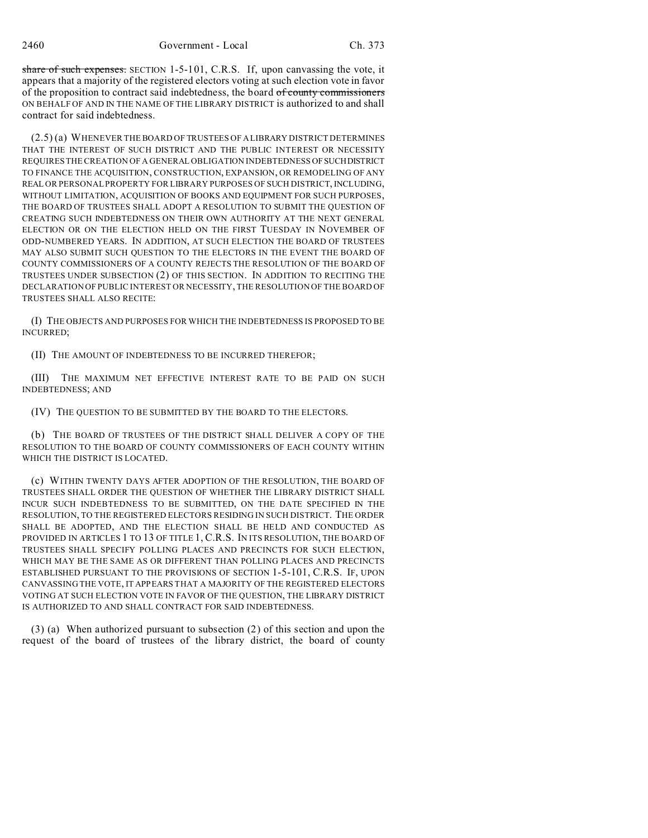share of such expenses. SECTION 1-5-101, C.R.S. If, upon canvassing the vote, it appears that a majority of the registered electors voting at such election vote in favor of the proposition to contract said indebtedness, the board of county commissioners ON BEHALF OF AND IN THE NAME OF THE LIBRARY DISTRICT is authorized to and shall contract for said indebtedness.

(2.5) (a) WHENEVER THE BOARD OF TRUSTEES OF A LIBRARY DISTRICT DETERMINES THAT THE INTEREST OF SUCH DISTRICT AND THE PUBLIC INTEREST OR NECESSITY REQUIRES THE CREATION OF A GENERAL OBLIGATION INDEBTEDNESS OFSUCHDISTRICT TO FINANCE THE ACQUISITION, CONSTRUCTION, EXPANSION, OR REMODELING OF ANY REAL OR PERSONAL PROPERTY FOR LIBRARY PURPOSES OF SUCH DISTRICT, INCLUDING, WITHOUT LIMITATION, ACQUISITION OF BOOKS AND EQUIPMENT FOR SUCH PURPOSES, THE BOARD OF TRUSTEES SHALL ADOPT A RESOLUTION TO SUBMIT THE QUESTION OF CREATING SUCH INDEBTEDNESS ON THEIR OWN AUTHORITY AT THE NEXT GENERAL ELECTION OR ON THE ELECTION HELD ON THE FIRST TUESDAY IN NOVEMBER OF ODD-NUMBERED YEARS. IN ADDITION, AT SUCH ELECTION THE BOARD OF TRUSTEES MAY ALSO SUBMIT SUCH QUESTION TO THE ELECTORS IN THE EVENT THE BOARD OF COUNTY COMMISSIONERS OF A COUNTY REJECTS THE RESOLUTION OF THE BOARD OF TRUSTEES UNDER SUBSECTION (2) OF THIS SECTION. IN ADDITION TO RECITING THE DECLARATION OF PUBLIC INTEREST OR NECESSITY, THE RESOLUTION OF THE BOARD OF TRUSTEES SHALL ALSO RECITE:

(I) THE OBJECTS AND PURPOSES FOR WHICH THE INDEBTEDNESS IS PROPOSED TO BE INCURRED;

(II) THE AMOUNT OF INDEBTEDNESS TO BE INCURRED THEREFOR;

(III) THE MAXIMUM NET EFFECTIVE INTEREST RATE TO BE PAID ON SUCH INDEBTEDNESS; AND

(IV) THE QUESTION TO BE SUBMITTED BY THE BOARD TO THE ELECTORS.

(b) THE BOARD OF TRUSTEES OF THE DISTRICT SHALL DELIVER A COPY OF THE RESOLUTION TO THE BOARD OF COUNTY COMMISSIONERS OF EACH COUNTY WITHIN WHICH THE DISTRICT IS LOCATED.

(c) WITHIN TWENTY DAYS AFTER ADOPTION OF THE RESOLUTION, THE BOARD OF TRUSTEES SHALL ORDER THE QUESTION OF WHETHER THE LIBRARY DISTRICT SHALL INCUR SUCH INDEBTEDNESS TO BE SUBMITTED, ON THE DATE SPECIFIED IN THE RESOLUTION, TO THE REGISTERED ELECTORS RESIDING IN SUCH DISTRICT. THE ORDER SHALL BE ADOPTED, AND THE ELECTION SHALL BE HELD AND CONDUCTED AS PROVIDED IN ARTICLES 1 TO 13 OF TITLE 1, C.R.S. IN ITS RESOLUTION, THE BOARD OF TRUSTEES SHALL SPECIFY POLLING PLACES AND PRECINCTS FOR SUCH ELECTION, WHICH MAY BE THE SAME AS OR DIFFERENT THAN POLLING PLACES AND PRECINCTS ESTABLISHED PURSUANT TO THE PROVISIONS OF SECTION 1-5-101, C.R.S. IF, UPON CANVASSING THE VOTE, IT APPEARS THAT A MAJORITY OF THE REGISTERED ELECTORS VOTING AT SUCH ELECTION VOTE IN FAVOR OF THE QUESTION, THE LIBRARY DISTRICT IS AUTHORIZED TO AND SHALL CONTRACT FOR SAID INDEBTEDNESS.

(3) (a) When authorized pursuant to subsection (2) of this section and upon the request of the board of trustees of the library district, the board of county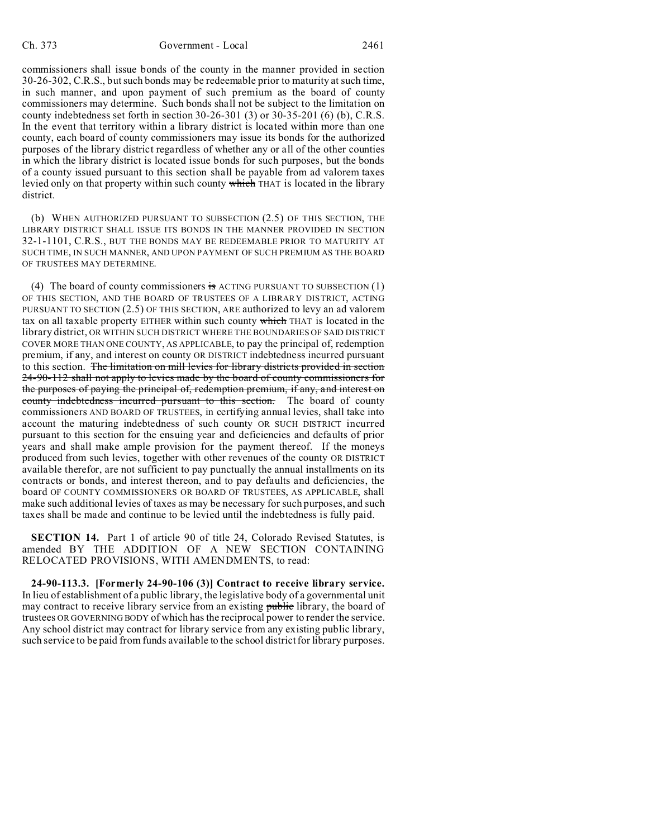commissioners shall issue bonds of the county in the manner provided in section 30-26-302, C.R.S., but such bonds may be redeemable prior to maturity at such time, in such manner, and upon payment of such premium as the board of county commissioners may determine. Such bonds shall not be subject to the limitation on county indebtedness set forth in section 30-26-301 (3) or 30-35-201 (6) (b), C.R.S. In the event that territory within a library district is located within more than one county, each board of county commissioners may issue its bonds for the authorized purposes of the library district regardless of whether any or all of the other counties in which the library district is located issue bonds for such purposes, but the bonds of a county issued pursuant to this section shall be payable from ad valorem taxes levied only on that property within such county which THAT is located in the library district.

(b) WHEN AUTHORIZED PURSUANT TO SUBSECTION (2.5) OF THIS SECTION, THE LIBRARY DISTRICT SHALL ISSUE ITS BONDS IN THE MANNER PROVIDED IN SECTION 32-1-1101, C.R.S., BUT THE BONDS MAY BE REDEEMABLE PRIOR TO MATURITY AT SUCH TIME, IN SUCH MANNER, AND UPON PAYMENT OF SUCH PREMIUM AS THE BOARD OF TRUSTEES MAY DETERMINE.

(4) The board of county commissioners is ACTING PURSUANT TO SUBSECTION (1) OF THIS SECTION, AND THE BOARD OF TRUSTEES OF A LIBRARY DISTRICT, ACTING PURSUANT TO SECTION (2.5) OF THIS SECTION, ARE authorized to levy an ad valorem tax on all taxable property EITHER within such county which THAT is located in the library district, OR WITHIN SUCH DISTRICT WHERE THE BOUNDARIES OF SAID DISTRICT COVER MORE THAN ONE COUNTY, AS APPLICABLE, to pay the principal of, redemption premium, if any, and interest on county OR DISTRICT indebtedness incurred pursuant to this section. The limitation on mill levies for library districts provided in section 24-90-112 shall not apply to levies made by the board of county commissioners for the purposes of paying the principal of, redemption premium, if any, and interest on county indebtedness incurred pursuant to this section. The board of county commissioners AND BOARD OF TRUSTEES, in certifying annual levies, shall take into account the maturing indebtedness of such county OR SUCH DISTRICT incurred pursuant to this section for the ensuing year and deficiencies and defaults of prior years and shall make ample provision for the payment thereof. If the moneys produced from such levies, together with other revenues of the county OR DISTRICT available therefor, are not sufficient to pay punctually the annual installments on its contracts or bonds, and interest thereon, and to pay defaults and deficiencies, the board OF COUNTY COMMISSIONERS OR BOARD OF TRUSTEES, AS APPLICABLE, shall make such additional levies of taxes as may be necessary for such purposes, and such taxes shall be made and continue to be levied until the indebtedness is fully paid.

**SECTION 14.** Part 1 of article 90 of title 24, Colorado Revised Statutes, is amended BY THE ADDITION OF A NEW SECTION CONTAINING RELOCATED PROVISIONS, WITH AMENDMENTS, to read:

**24-90-113.3. [Formerly 24-90-106 (3)] Contract to receive library service.** In lieu of establishment of a public library, the legislative body of a governmental unit may contract to receive library service from an existing public library, the board of trustees OR GOVERNING BODY of which has the reciprocal power to render the service. Any school district may contract for library service from any existing public library, such service to be paid from funds available to the school district for library purposes.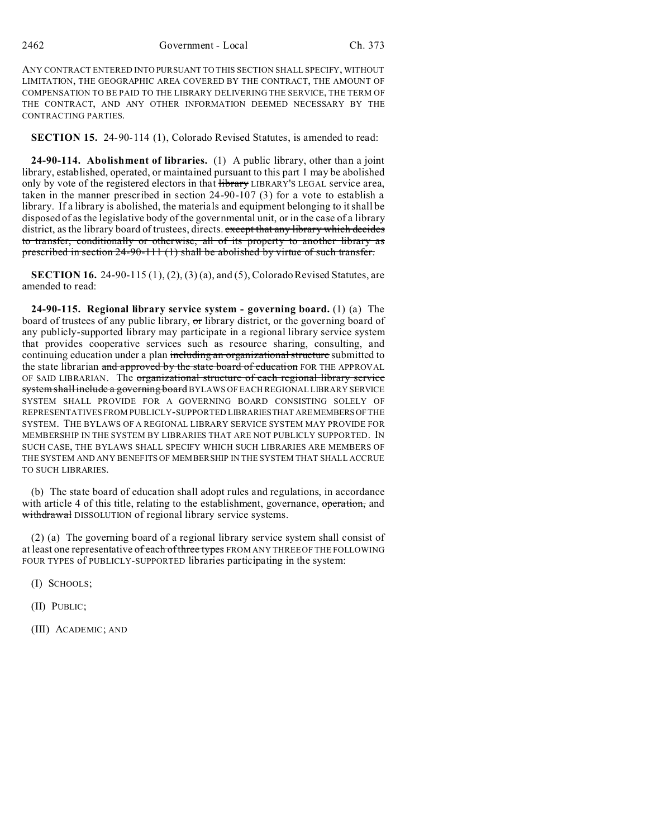ANY CONTRACT ENTERED INTO PURSUANT TO THIS SECTION SHALL SPECIFY, WITHOUT LIMITATION, THE GEOGRAPHIC AREA COVERED BY THE CONTRACT, THE AMOUNT OF COMPENSATION TO BE PAID TO THE LIBRARY DELIVERING THE SERVICE, THE TERM OF THE CONTRACT, AND ANY OTHER INFORMATION DEEMED NECESSARY BY THE CONTRACTING PARTIES.

**SECTION 15.** 24-90-114 (1), Colorado Revised Statutes, is amended to read:

**24-90-114. Abolishment of libraries.** (1) A public library, other than a joint library, established, operated, or maintained pursuant to this part 1 may be abolished only by vote of the registered electors in that  $\frac{1}{2}$  Hbrary LIBRARY'S LEGAL service area, taken in the manner prescribed in section 24-90-107 (3) for a vote to establish a library. If a library is abolished, the materials and equipment belonging to it shall be disposed of as the legislative body of the governmental unit, or in the case of a library district, as the library board of trustees, directs. except that any library which decides to transfer, conditionally or otherwise, all of its property to another library as prescribed in section 24-90-111 (1) shall be abolished by virtue of such transfer.

**SECTION 16.** 24-90-115 (1), (2), (3) (a), and (5), Colorado Revised Statutes, are amended to read:

**24-90-115. Regional library service system - governing board.** (1) (a) The board of trustees of any public library, or library district, or the governing board of any publicly-supported library may participate in a regional library service system that provides cooperative services such as resource sharing, consulting, and continuing education under a plan including an organizational structure submitted to the state librarian and approved by the state board of education FOR THE APPROVAL OF SAID LIBRARIAN. The organizational structure of each regional library service system shall include a governing board BYLAWS OF EACH REGIONAL LIBRARY SERVICE SYSTEM SHALL PROVIDE FOR A GOVERNING BOARD CONSISTING SOLELY OF REPRESENTATIVES FROM PUBLICLY-SUPPORTED LIBRARIESTHAT AREMEMBERSOF THE SYSTEM. THE BYLAWS OF A REGIONAL LIBRARY SERVICE SYSTEM MAY PROVIDE FOR MEMBERSHIP IN THE SYSTEM BY LIBRARIES THAT ARE NOT PUBLICLY SUPPORTED. IN SUCH CASE, THE BYLAWS SHALL SPECIFY WHICH SUCH LIBRARIES ARE MEMBERS OF THE SYSTEM AND ANY BENEFITS OF MEMBERSHIP IN THE SYSTEM THAT SHALL ACCRUE TO SUCH LIBRARIES.

(b) The state board of education shall adopt rules and regulations, in accordance with article 4 of this title, relating to the establishment, governance, operation, and withdrawal DISSOLUTION of regional library service systems.

(2) (a) The governing board of a regional library service system shall consist of at least one representative of each of three types FROM ANY THREE OF THE FOLLOWING FOUR TYPES of PUBLICLY-SUPPORTED libraries participating in the system:

(I) SCHOOLS;

(II) PUBLIC;

(III) ACADEMIC; AND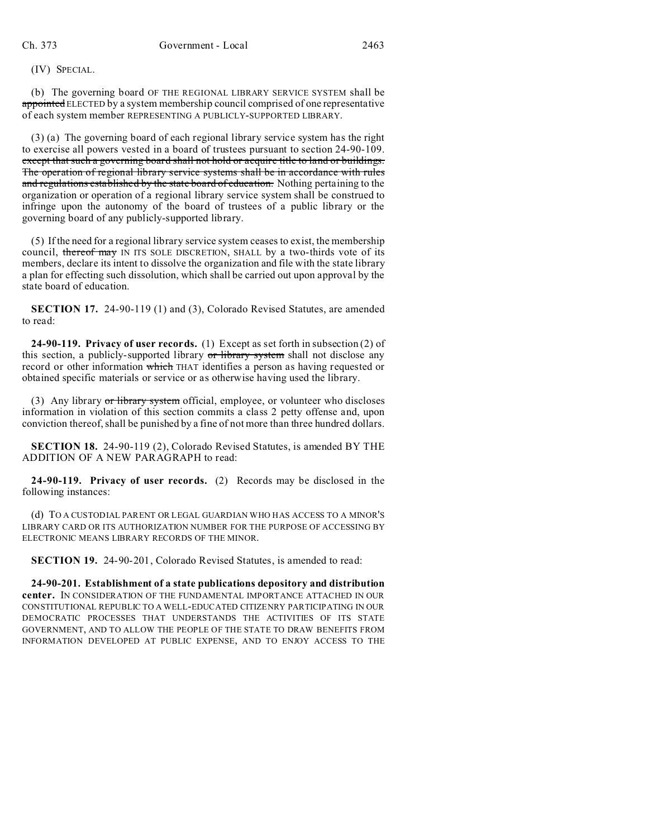(IV) SPECIAL.

(b) The governing board OF THE REGIONAL LIBRARY SERVICE SYSTEM shall be appointed ELECTED by a system membership council comprised of one representative of each system member REPRESENTING A PUBLICLY-SUPPORTED LIBRARY.

(3) (a) The governing board of each regional library service system has the right to exercise all powers vested in a board of trustees pursuant to section 24-90-109. except that such a governing board shall not hold or acquire title to land or buildings. The operation of regional library service systems shall be in accordance with rules and regulations established by the state board of education. Nothing pertaining to the organization or operation of a regional library service system shall be construed to infringe upon the autonomy of the board of trustees of a public library or the governing board of any publicly-supported library.

(5) If the need for a regional library service system ceases to exist, the membership council, thereof may IN ITS SOLE DISCRETION, SHALL by a two-thirds vote of its members, declare its intent to dissolve the organization and file with the state library a plan for effecting such dissolution, which shall be carried out upon approval by the state board of education.

**SECTION 17.** 24-90-119 (1) and (3), Colorado Revised Statutes, are amended to read:

**24-90-119. Privacy of user records.** (1) Except as set forth in subsection (2) of this section, a publicly-supported library or library system shall not disclose any record or other information which THAT identifies a person as having requested or obtained specific materials or service or as otherwise having used the library.

(3) Any library  $\sigma r$  library system official, employee, or volunteer who discloses information in violation of this section commits a class 2 petty offense and, upon conviction thereof, shall be punished by a fine of not more than three hundred dollars.

**SECTION 18.** 24-90-119 (2), Colorado Revised Statutes, is amended BY THE ADDITION OF A NEW PARAGRAPH to read:

**24-90-119. Privacy of user records.** (2) Records may be disclosed in the following instances:

(d) TO A CUSTODIAL PARENT OR LEGAL GUARDIAN WHO HAS ACCESS TO A MINOR'S LIBRARY CARD OR ITS AUTHORIZATION NUMBER FOR THE PURPOSE OF ACCESSING BY ELECTRONIC MEANS LIBRARY RECORDS OF THE MINOR.

**SECTION 19.** 24-90-201, Colorado Revised Statutes, is amended to read:

**24-90-201. Establishment of a state publications depository and distribution center.** IN CONSIDERATION OF THE FUNDAMENTAL IMPORTANCE ATTACHED IN OUR CONSTITUTIONAL REPUBLIC TO A WELL-EDUCATED CITIZENRY PARTICIPATING IN OUR DEMOCRATIC PROCESSES THAT UNDERSTANDS THE ACTIVITIES OF ITS STATE GOVERNMENT, AND TO ALLOW THE PEOPLE OF THE STATE TO DRAW BENEFITS FROM INFORMATION DEVELOPED AT PUBLIC EXPENSE, AND TO ENJOY ACCESS TO THE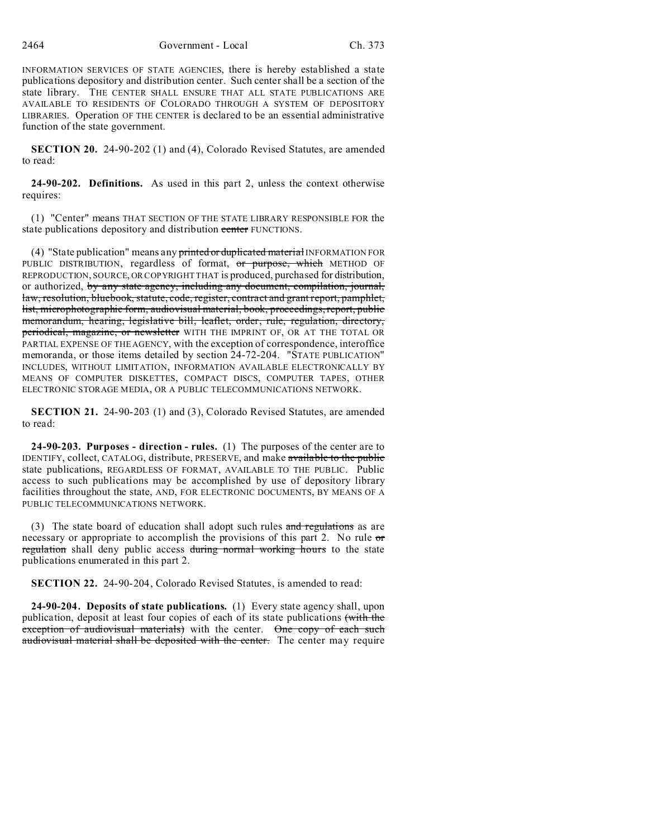INFORMATION SERVICES OF STATE AGENCIES, there is hereby established a state publications depository and distribution center. Such center shall be a section of the state library. THE CENTER SHALL ENSURE THAT ALL STATE PUBLICATIONS ARE AVAILABLE TO RESIDENTS OF COLORADO THROUGH A SYSTEM OF DEPOSITORY LIBRARIES. Operation OF THE CENTER is declared to be an essential administrative function of the state government.

**SECTION 20.** 24-90-202 (1) and (4), Colorado Revised Statutes, are amended to read:

**24-90-202. Definitions.** As used in this part 2, unless the context otherwise requires:

(1) "Center" means THAT SECTION OF THE STATE LIBRARY RESPONSIBLE FOR the state publications depository and distribution center FUNCTIONS.

(4) "State publication" means any printed or duplicated material INFORMATION FOR PUBLIC DISTRIBUTION, regardless of format, or purpose, which METHOD OF REPRODUCTION, SOURCE, OR COPYRIGHT THAT is produced, purchased for distribution, or authorized, by any state agency, including any document, compilation, journal, law, resolution, bluebook, statute, code, register, contract and grant report, pamphlet, list, microphotographic form, audiovisual material, book, proceedings, report, public memorandum, hearing, legislative bill, leaflet, order, rule, regulation, directory, periodical, magazine, or newsletter WITH THE IMPRINT OF, OR AT THE TOTAL OR PARTIAL EXPENSE OF THE AGENCY, with the exception of correspondence, interoffice memoranda, or those items detailed by section 24-72-204. "STATE PUBLICATION" INCLUDES, WITHOUT LIMITATION, INFORMATION AVAILABLE ELECTRONICALLY BY MEANS OF COMPUTER DISKETTES, COMPACT DISCS, COMPUTER TAPES, OTHER ELECTRONIC STORAGE MEDIA, OR A PUBLIC TELECOMMUNICATIONS NETWORK.

**SECTION 21.** 24-90-203 (1) and (3), Colorado Revised Statutes, are amended to read:

**24-90-203. Purposes - direction - rules.** (1) The purposes of the center are to IDENTIFY, collect, CATALOG, distribute, PRESERVE, and make available to the public state publications, REGARDLESS OF FORMAT, AVAILABLE TO THE PUBLIC. Public access to such publications may be accomplished by use of depository library facilities throughout the state, AND, FOR ELECTRONIC DOCUMENTS, BY MEANS OF A PUBLIC TELECOMMUNICATIONS NETWORK.

(3) The state board of education shall adopt such rules and regulations as are necessary or appropriate to accomplish the provisions of this part 2. No rule or regulation shall deny public access during normal working hours to the state publications enumerated in this part 2.

**SECTION 22.** 24-90-204, Colorado Revised Statutes, is amended to read:

**24-90-204. Deposits of state publications.** (1) Every state agency shall, upon publication, deposit at least four copies of each of its state publications (with the exception of audiovisual materials) with the center. One copy of each such audiovisual material shall be deposited with the center. The center may require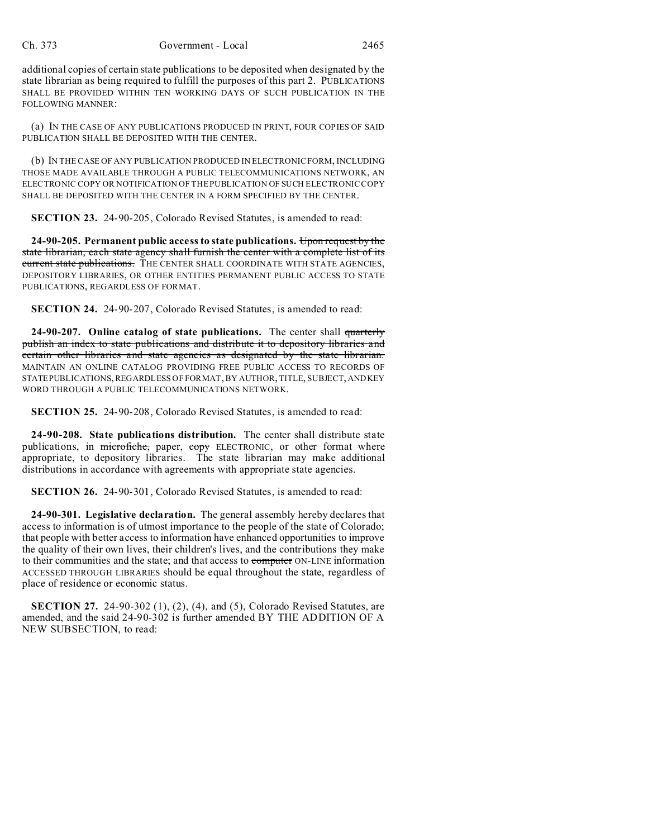additional copies of certain state publications to be deposited when designated by the state librarian as being required to fulfill the purposes of this part 2. PUBLICATIONS SHALL BE PROVIDED WITHIN TEN WORKING DAYS OF SUCH PUBLICATION IN THE FOLLOWING MANNER:

(a) IN THE CASE OF ANY PUBLICATIONS PRODUCED IN PRINT, FOUR COPIES OF SAID PUBLICATION SHALL BE DEPOSITED WITH THE CENTER.

(b) IN THE CASE OF ANY PUBLICATION PRODUCED IN ELECTRONIC FORM, INCLUDING THOSE MADE AVAILABLE THROUGH A PUBLIC TELECOMMUNICATIONS NETWORK, AN ELECTRONIC COPY OR NOTIFICATION OF THE PUBLICATION OF SUCH ELECTRONIC COPY SHALL BE DEPOSITED WITH THE CENTER IN A FORM SPECIFIED BY THE CENTER.

**SECTION 23.** 24-90-205, Colorado Revised Statutes, is amended to read:

**24-90-205. Permanent public access to state publications.** Upon request by the state librarian, each state agency shall furnish the center with a complete list of its current state publications. THE CENTER SHALL COORDINATE WITH STATE AGENCIES, DEPOSITORY LIBRARIES, OR OTHER ENTITIES PERMANENT PUBLIC ACCESS TO STATE PUBLICATIONS, REGARDLESS OF FORMAT.

**SECTION 24.** 24-90-207, Colorado Revised Statutes, is amended to read:

**24-90-207. Online catalog of state publications.** The center shall quarterly publish an index to state publications and distribute it to depository libraries and certain other libraries and state agencies as designated by the state librarian. MAINTAIN AN ONLINE CATALOG PROVIDING FREE PUBLIC ACCESS TO RECORDS OF STATEPUBLICATIONS, REGARDLESS OF FORMAT, BY AUTHOR, TITLE, SUBJECT, ANDKEY WORD THROUGH A PUBLIC TELECOMMUNICATIONS NETWORK.

**SECTION 25.** 24-90-208, Colorado Revised Statutes, is amended to read:

**24-90-208. State publications distribution.** The center shall distribute state publications, in microfiche, paper, copy ELECTRONIC, or other format where appropriate, to depository libraries. The state librarian may make additional distributions in accordance with agreements with appropriate state agencies.

**SECTION 26.** 24-90-301, Colorado Revised Statutes, is amended to read:

**24-90-301. Legislative declaration.** The general assembly hereby declares that access to information is of utmost importance to the people of the state of Colorado; that people with better access to information have enhanced opportunities to improve the quality of their own lives, their children's lives, and the contributions they make to their communities and the state; and that access to computer ON-LINE information ACCESSED THROUGH LIBRARIES should be equal throughout the state, regardless of place of residence or economic status.

**SECTION 27.** 24-90-302 (1), (2), (4), and (5), Colorado Revised Statutes, are amended, and the said 24-90-302 is further amended BY THE ADDITION OF A NEW SUBSECTION, to read: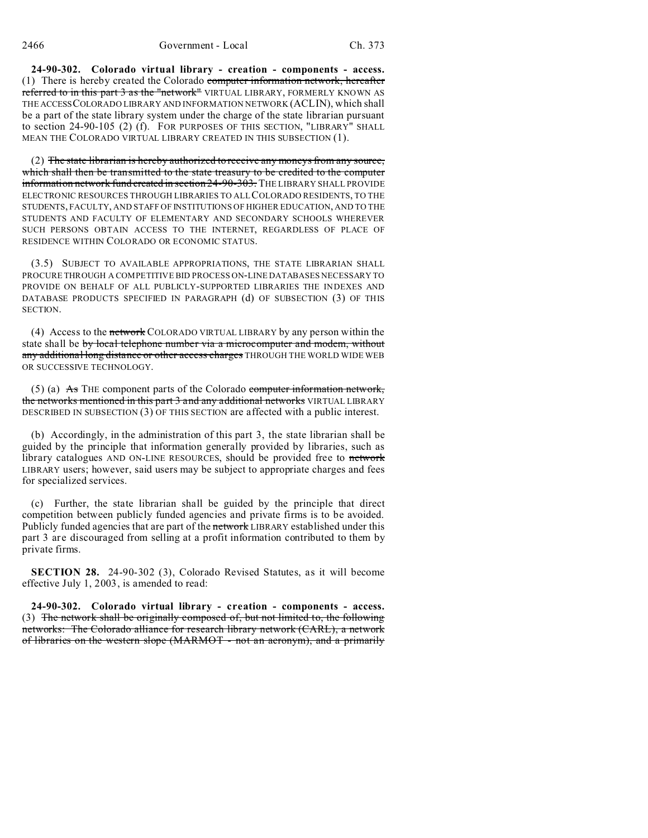**24-90-302. Colorado virtual library - creation - components - access.** (1) There is hereby created the Colorado computer information network, hereafter referred to in this part 3 as the "network" VIRTUAL LIBRARY, FORMERLY KNOWN AS THE ACCESSCOLORADO LIBRARY AND INFORMATION NETWORK (ACLIN), which shall be a part of the state library system under the charge of the state librarian pursuant to section 24-90-105 (2) (f). FOR PURPOSES OF THIS SECTION, "LIBRARY" SHALL MEAN THE COLORADO VIRTUAL LIBRARY CREATED IN THIS SUBSECTION (1).

(2) The state librarian is hereby authorized to receive any moneys from any source, which shall then be transmitted to the state treasury to be credited to the computer information network fund created in section 24-90-303. THE LIBRARY SHALL PROVIDE ELECTRONIC RESOURCES THROUGH LIBRARIES TO ALL COLORADO RESIDENTS, TO THE STUDENTS, FACULTY, AND STAFF OF INSTITUTIONS OF HIGHER EDUCATION, AND TO THE STUDENTS AND FACULTY OF ELEMENTARY AND SECONDARY SCHOOLS WHEREVER SUCH PERSONS OBTAIN ACCESS TO THE INTERNET, REGARDLESS OF PLACE OF RESIDENCE WITHIN COLORADO OR ECONOMIC STATUS.

(3.5) SUBJECT TO AVAILABLE APPROPRIATIONS, THE STATE LIBRARIAN SHALL PROCURE THROUGH A COMPETITIVE BID PROCESS ON-LINE DATABASES NECESSARY TO PROVIDE ON BEHALF OF ALL PUBLICLY-SUPPORTED LIBRARIES THE INDEXES AND DATABASE PRODUCTS SPECIFIED IN PARAGRAPH (d) OF SUBSECTION (3) OF THIS SECTION.

(4) Access to the network COLORADO VIRTUAL LIBRARY by any person within the state shall be by local telephone number via a microcomputer and modem, without any additional long distance or other access charges THROUGH THE WORLD WIDE WEB OR SUCCESSIVE TECHNOLOGY.

(5) (a)  $\overrightarrow{As}$  THE component parts of the Colorado computer information network, the networks mentioned in this part 3 and any additional networks VIRTUAL LIBRARY DESCRIBED IN SUBSECTION (3) OF THIS SECTION are affected with a public interest.

(b) Accordingly, in the administration of this part 3, the state librarian shall be guided by the principle that information generally provided by libraries, such as library catalogues AND ON-LINE RESOURCES, should be provided free to network LIBRARY users; however, said users may be subject to appropriate charges and fees for specialized services.

(c) Further, the state librarian shall be guided by the principle that direct competition between publicly funded agencies and private firms is to be avoided. Publicly funded agencies that are part of the network LIBRARY established under this part 3 are discouraged from selling at a profit information contributed to them by private firms.

**SECTION 28.** 24-90-302 (3), Colorado Revised Statutes, as it will become effective July 1, 2003, is amended to read:

**24-90-302. Colorado virtual library - creation - components - access.** (3) The network shall be originally composed of, but not limited to, the following networks: The Colorado alliance for research library network (CARL), a network of libraries on the western slope (MARMOT - not an acronym), and a primarily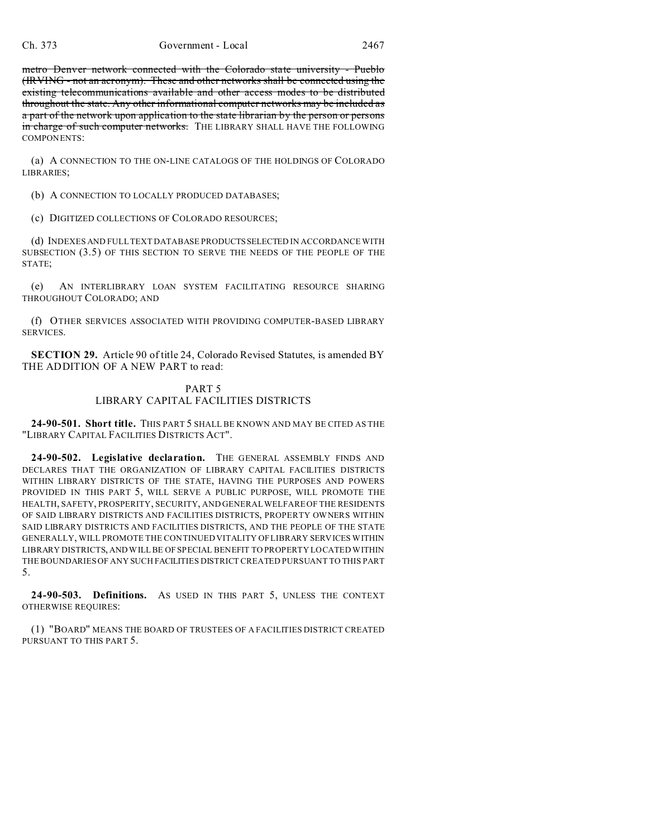metro Denver network connected with the Colorado state university - Pueblo (IRVING - not an acronym). These and other networks shall be connected using the existing telecommunications available and other access modes to be distributed throughout the state. Any other informational computer networks may be included as a part of the network upon application to the state librarian by the person or persons in charge of such computer networks. THE LIBRARY SHALL HAVE THE FOLLOWING COMPONENTS:

(a) A CONNECTION TO THE ON-LINE CATALOGS OF THE HOLDINGS OF COLORADO LIBRARIES;

(b) A CONNECTION TO LOCALLY PRODUCED DATABASES;

(c) DIGITIZED COLLECTIONS OF COLORADO RESOURCES;

(d) INDEXES AND FULL TEXT DATABASE PRODUCTSSELECTED IN ACCORDANCE WITH SUBSECTION (3.5) OF THIS SECTION TO SERVE THE NEEDS OF THE PEOPLE OF THE STATE;

(e) AN INTERLIBRARY LOAN SYSTEM FACILITATING RESOURCE SHARING THROUGHOUT COLORADO; AND

(f) OTHER SERVICES ASSOCIATED WITH PROVIDING COMPUTER-BASED LIBRARY SERVICES.

**SECTION 29.** Article 90 of title 24, Colorado Revised Statutes, is amended BY THE ADDITION OF A NEW PART to read:

## PART 5 LIBRARY CAPITAL FACILITIES DISTRICTS

**24-90-501. Short title.** THIS PART 5 SHALL BE KNOWN AND MAY BE CITED AS THE "LIBRARY CAPITAL FACILITIES DISTRICTS ACT".

**24-90-502. Legislative declaration.** THE GENERAL ASSEMBLY FINDS AND DECLARES THAT THE ORGANIZATION OF LIBRARY CAPITAL FACILITIES DISTRICTS WITHIN LIBRARY DISTRICTS OF THE STATE, HAVING THE PURPOSES AND POWERS PROVIDED IN THIS PART 5, WILL SERVE A PUBLIC PURPOSE, WILL PROMOTE THE HEALTH, SAFETY, PROSPERITY, SECURITY, AND GENERAL WELFARE OF THE RESIDENTS OF SAID LIBRARY DISTRICTS AND FACILITIES DISTRICTS, PROPERTY OWNERS WITHIN SAID LIBRARY DISTRICTS AND FACILITIES DISTRICTS, AND THE PEOPLE OF THE STATE GENERALLY, WILL PROMOTE THE CONTINUED VITALITY OF LIBRARY SERVICES WITHIN LIBRARY DISTRICTS, AND WILL BE OF SPECIAL BENEFIT TO PROPERTY LOCATED WITHIN THE BOUNDARIES OF ANY SUCH FACILITIES DISTRICT CREATED PURSUANT TO THIS PART 5.

**24-90-503. Definitions.** AS USED IN THIS PART 5, UNLESS THE CONTEXT OTHERWISE REQUIRES:

(1) "BOARD" MEANS THE BOARD OF TRUSTEES OF A FACILITIES DISTRICT CREATED PURSUANT TO THIS PART 5.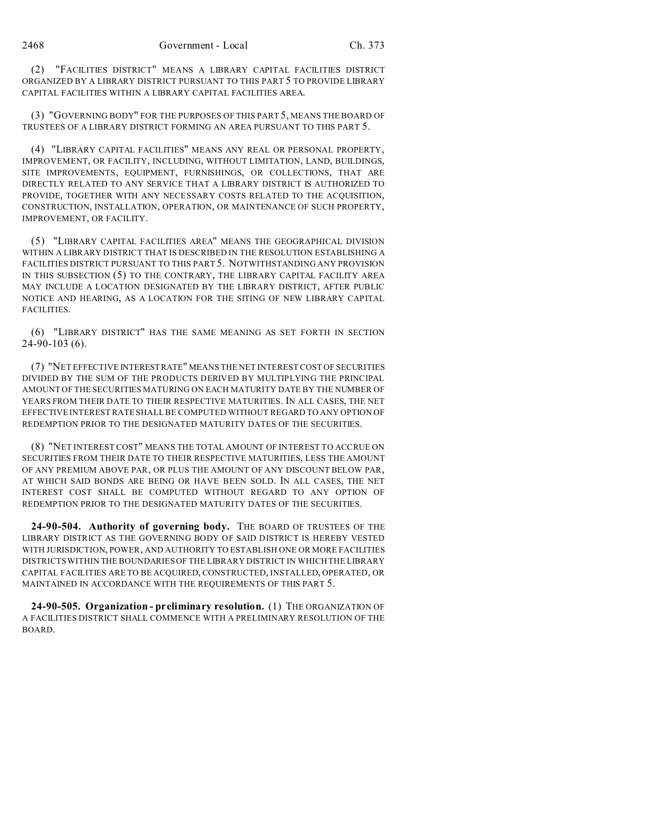(2) "FACILITIES DISTRICT" MEANS A LIBRARY CAPITAL FACILITIES DISTRICT ORGANIZED BY A LIBRARY DISTRICT PURSUANT TO THIS PART 5 TO PROVIDE LIBRARY CAPITAL FACILITIES WITHIN A LIBRARY CAPITAL FACILITIES AREA.

(3) "GOVERNING BODY" FOR THE PURPOSES OF THIS PART 5, MEANS THE BOARD OF TRUSTEES OF A LIBRARY DISTRICT FORMING AN AREA PURSUANT TO THIS PART 5.

(4) "LIBRARY CAPITAL FACILITIES" MEANS ANY REAL OR PERSONAL PROPERTY, IMPROVEMENT, OR FACILITY, INCLUDING, WITHOUT LIMITATION, LAND, BUILDINGS, SITE IMPROVEMENTS, EQUIPMENT, FURNISHINGS, OR COLLECTIONS, THAT ARE DIRECTLY RELATED TO ANY SERVICE THAT A LIBRARY DISTRICT IS AUTHORIZED TO PROVIDE, TOGETHER WITH ANY NECESSARY COSTS RELATED TO THE ACQUISITION, CONSTRUCTION, INSTALLATION, OPERATION, OR MAINTENANCE OF SUCH PROPERTY, IMPROVEMENT, OR FACILITY.

(5) "LIBRARY CAPITAL FACILITIES AREA" MEANS THE GEOGRAPHICAL DIVISION WITHIN A LIBRARY DISTRICT THAT IS DESCRIBED IN THE RESOLUTION ESTABLISHING A FACILITIES DISTRICT PURSUANT TO THIS PART 5. NOTWITHSTANDING ANY PROVISION IN THIS SUBSECTION (5) TO THE CONTRARY, THE LIBRARY CAPITAL FACILITY AREA MAY INCLUDE A LOCATION DESIGNATED BY THE LIBRARY DISTRICT, AFTER PUBLIC NOTICE AND HEARING, AS A LOCATION FOR THE SITING OF NEW LIBRARY CAPITAL FACILITIES.

(6) "LIBRARY DISTRICT" HAS THE SAME MEANING AS SET FORTH IN SECTION 24-90-103 (6).

(7) "NET EFFECTIVE INTERESTRATE" MEANS THE NET INTEREST COST OF SECURITIES DIVIDED BY THE SUM OF THE PRODUCTS DERIVED BY MULTIPLYING THE PRINCIPAL AMOUNT OF THE SECURITIES MATURING ON EACH MATURITY DATE BY THE NUMBER OF YEARS FROM THEIR DATE TO THEIR RESPECTIVE MATURITIES. IN ALL CASES, THE NET EFFECTIVE INTEREST RATE SHALL BE COMPUTED WITHOUT REGARD TO ANY OPTION OF REDEMPTION PRIOR TO THE DESIGNATED MATURITY DATES OF THE SECURITIES.

(8) "NET INTEREST COST" MEANS THE TOTAL AMOUNT OF INTEREST TO ACCRUE ON SECURITIES FROM THEIR DATE TO THEIR RESPECTIVE MATURITIES, LESS THE AMOUNT OF ANY PREMIUM ABOVE PAR, OR PLUS THE AMOUNT OF ANY DISCOUNT BELOW PAR, AT WHICH SAID BONDS ARE BEING OR HAVE BEEN SOLD. IN ALL CASES, THE NET INTEREST COST SHALL BE COMPUTED WITHOUT REGARD TO ANY OPTION OF REDEMPTION PRIOR TO THE DESIGNATED MATURITY DATES OF THE SECURITIES.

**24-90-504. Authority of governing body.** THE BOARD OF TRUSTEES OF THE LIBRARY DISTRICT AS THE GOVERNING BODY OF SAID DISTRICT IS HEREBY VESTED WITH JURISDICTION, POWER, AND AUTHORITY TO ESTABLISH ONE OR MORE FACILITIES DISTRICTS WITHIN THE BOUNDARIES OF THE LIBRARY DISTRICT IN WHICH THE LIBRARY CAPITAL FACILITIES ARE TO BE ACQUIRED, CONSTRUCTED, INSTALLED, OPERATED, OR MAINTAINED IN ACCORDANCE WITH THE REQUIREMENTS OF THIS PART 5.

**24-90-505. Organization - preliminary resolution.** (1) THE ORGANIZATION OF A FACILITIES DISTRICT SHALL COMMENCE WITH A PRELIMINARY RESOLUTION OF THE BOARD.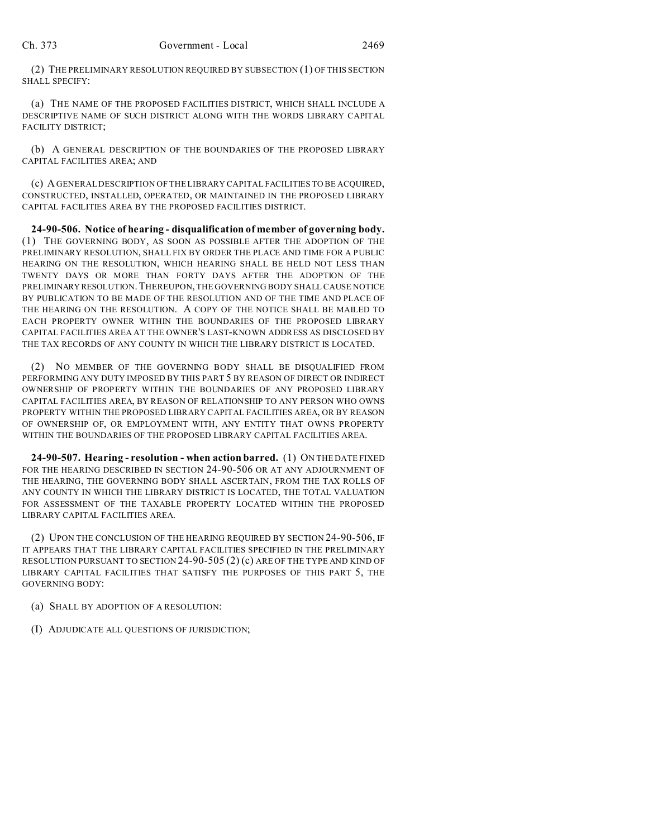(2) THE PRELIMINARY RESOLUTION REQUIRED BY SUBSECTION (1) OF THIS SECTION SHALL SPECIFY:

(a) THE NAME OF THE PROPOSED FACILITIES DISTRICT, WHICH SHALL INCLUDE A DESCRIPTIVE NAME OF SUCH DISTRICT ALONG WITH THE WORDS LIBRARY CAPITAL FACILITY DISTRICT;

(b) A GENERAL DESCRIPTION OF THE BOUNDARIES OF THE PROPOSED LIBRARY CAPITAL FACILITIES AREA; AND

(c) A GENERAL DESCRIPTION OF THE LIBRARY CAPITAL FACILITIES TO BE ACQUIRED, CONSTRUCTED, INSTALLED, OPERATED, OR MAINTAINED IN THE PROPOSED LIBRARY CAPITAL FACILITIES AREA BY THE PROPOSED FACILITIES DISTRICT.

**24-90-506. Notice of hearing - disqualification of member of governing body.** (1) THE GOVERNING BODY, AS SOON AS POSSIBLE AFTER THE ADOPTION OF THE PRELIMINARY RESOLUTION, SHALL FIX BY ORDER THE PLACE AND TIME FOR A PUBLIC HEARING ON THE RESOLUTION, WHICH HEARING SHALL BE HELD NOT LESS THAN TWENTY DAYS OR MORE THAN FORTY DAYS AFTER THE ADOPTION OF THE PRELIMINARY RESOLUTION.THEREUPON, THE GOVERNING BODY SHALL CAUSE NOTICE BY PUBLICATION TO BE MADE OF THE RESOLUTION AND OF THE TIME AND PLACE OF THE HEARING ON THE RESOLUTION. A COPY OF THE NOTICE SHALL BE MAILED TO EACH PROPERTY OWNER WITHIN THE BOUNDARIES OF THE PROPOSED LIBRARY CAPITAL FACILITIES AREA AT THE OWNER'S LAST-KNOWN ADDRESS AS DISCLOSED BY THE TAX RECORDS OF ANY COUNTY IN WHICH THE LIBRARY DISTRICT IS LOCATED.

(2) NO MEMBER OF THE GOVERNING BODY SHALL BE DISQUALIFIED FROM PERFORMING ANY DUTY IMPOSED BY THIS PART 5 BY REASON OF DIRECT OR INDIRECT OWNERSHIP OF PROPERTY WITHIN THE BOUNDARIES OF ANY PROPOSED LIBRARY CAPITAL FACILITIES AREA, BY REASON OF RELATIONSHIP TO ANY PERSON WHO OWNS PROPERTY WITHIN THE PROPOSED LIBRARY CAPITAL FACILITIES AREA, OR BY REASON OF OWNERSHIP OF, OR EMPLOYMENT WITH, ANY ENTITY THAT OWNS PROPERTY WITHIN THE BOUNDARIES OF THE PROPOSED LIBRARY CAPITAL FACILITIES AREA.

**24-90-507. Hearing - resolution - when action barred.** (1) ON THE DATE FIXED FOR THE HEARING DESCRIBED IN SECTION 24-90-506 OR AT ANY ADJOURNMENT OF THE HEARING, THE GOVERNING BODY SHALL ASCERTAIN, FROM THE TAX ROLLS OF ANY COUNTY IN WHICH THE LIBRARY DISTRICT IS LOCATED, THE TOTAL VALUATION FOR ASSESSMENT OF THE TAXABLE PROPERTY LOCATED WITHIN THE PROPOSED LIBRARY CAPITAL FACILITIES AREA.

(2) UPON THE CONCLUSION OF THE HEARING REQUIRED BY SECTION 24-90-506, IF IT APPEARS THAT THE LIBRARY CAPITAL FACILITIES SPECIFIED IN THE PRELIMINARY RESOLUTION PURSUANT TO SECTION 24-90-505 (2) (c) ARE OF THE TYPE AND KIND OF LIBRARY CAPITAL FACILITIES THAT SATISFY THE PURPOSES OF THIS PART 5, THE GOVERNING BODY:

(a) SHALL BY ADOPTION OF A RESOLUTION:

(I) ADJUDICATE ALL QUESTIONS OF JURISDICTION;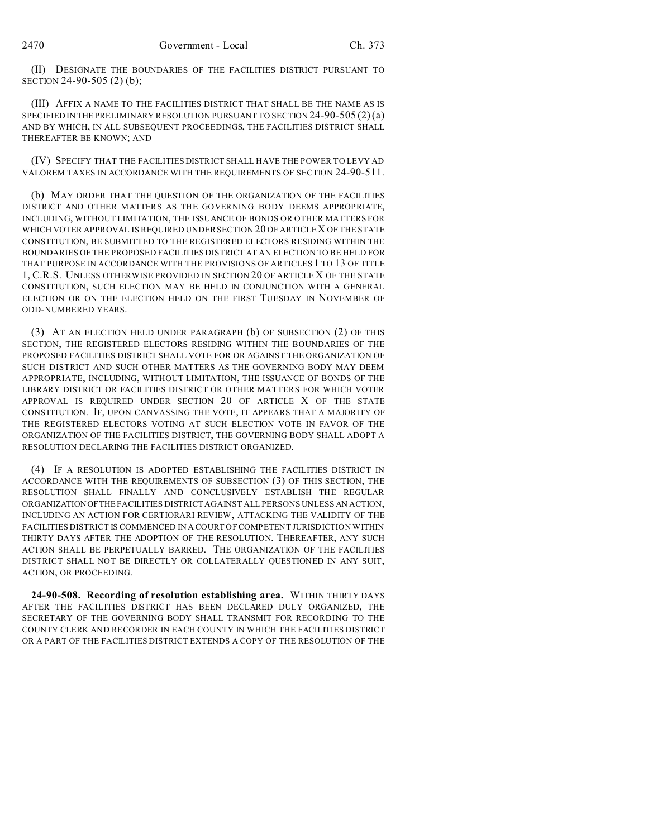(II) DESIGNATE THE BOUNDARIES OF THE FACILITIES DISTRICT PURSUANT TO SECTION 24-90-505 (2) (b);

(III) AFFIX A NAME TO THE FACILITIES DISTRICT THAT SHALL BE THE NAME AS IS SPECIFIED IN THE PRELIMINARY RESOLUTION PURSUANT TO SECTION 24-90-505 (2)(a) AND BY WHICH, IN ALL SUBSEQUENT PROCEEDINGS, THE FACILITIES DISTRICT SHALL THEREAFTER BE KNOWN; AND

(IV) SPECIFY THAT THE FACILITIES DISTRICT SHALL HAVE THE POWER TO LEVY AD VALOREM TAXES IN ACCORDANCE WITH THE REQUIREMENTS OF SECTION 24-90-511.

(b) MAY ORDER THAT THE QUESTION OF THE ORGANIZATION OF THE FACILITIES DISTRICT AND OTHER MATTERS AS THE GOVERNING BODY DEEMS APPROPRIATE, INCLUDING, WITHOUT LIMITATION, THE ISSUANCE OF BONDS OR OTHER MATTERS FOR WHICH VOTER APPROVAL IS REQUIRED UNDER SECTION 20 OF ARTICLE X OF THE STATE CONSTITUTION, BE SUBMITTED TO THE REGISTERED ELECTORS RESIDING WITHIN THE BOUNDARIES OF THE PROPOSED FACILITIES DISTRICT AT AN ELECTION TO BE HELD FOR THAT PURPOSE IN ACCORDANCE WITH THE PROVISIONS OF ARTICLES 1 TO 13 OF TITLE 1, C.R.S. UNLESS OTHERWISE PROVIDED IN SECTION 20 OF ARTICLE X OF THE STATE CONSTITUTION, SUCH ELECTION MAY BE HELD IN CONJUNCTION WITH A GENERAL ELECTION OR ON THE ELECTION HELD ON THE FIRST TUESDAY IN NOVEMBER OF ODD-NUMBERED YEARS.

(3) AT AN ELECTION HELD UNDER PARAGRAPH (b) OF SUBSECTION (2) OF THIS SECTION, THE REGISTERED ELECTORS RESIDING WITHIN THE BOUNDARIES OF THE PROPOSED FACILITIES DISTRICT SHALL VOTE FOR OR AGAINST THE ORGANIZATION OF SUCH DISTRICT AND SUCH OTHER MATTERS AS THE GOVERNING BODY MAY DEEM APPROPRIATE, INCLUDING, WITHOUT LIMITATION, THE ISSUANCE OF BONDS OF THE LIBRARY DISTRICT OR FACILITIES DISTRICT OR OTHER MATTERS FOR WHICH VOTER APPROVAL IS REQUIRED UNDER SECTION 20 OF ARTICLE X OF THE STATE CONSTITUTION. IF, UPON CANVASSING THE VOTE, IT APPEARS THAT A MAJORITY OF THE REGISTERED ELECTORS VOTING AT SUCH ELECTION VOTE IN FAVOR OF THE ORGANIZATION OF THE FACILITIES DISTRICT, THE GOVERNING BODY SHALL ADOPT A RESOLUTION DECLARING THE FACILITIES DISTRICT ORGANIZED.

(4) IF A RESOLUTION IS ADOPTED ESTABLISHING THE FACILITIES DISTRICT IN ACCORDANCE WITH THE REQUIREMENTS OF SUBSECTION (3) OF THIS SECTION, THE RESOLUTION SHALL FINALLY AND CONCLUSIVELY ESTABLISH THE REGULAR ORGANIZATIONOFTHE FACILITIES DISTRICT AGAINST ALL PERSONS UNLESS AN ACTION, INCLUDING AN ACTION FOR CERTIORARI REVIEW, ATTACKING THE VALIDITY OF THE FACILITIES DISTRICT IS COMMENCED IN A COURT OF COMPETENT JURISDICTION WITHIN THIRTY DAYS AFTER THE ADOPTION OF THE RESOLUTION. THEREAFTER, ANY SUCH ACTION SHALL BE PERPETUALLY BARRED. THE ORGANIZATION OF THE FACILITIES DISTRICT SHALL NOT BE DIRECTLY OR COLLATERALLY QUESTIONED IN ANY SUIT, ACTION, OR PROCEEDING.

**24-90-508. Recording of resolution establishing area.** WITHIN THIRTY DAYS AFTER THE FACILITIES DISTRICT HAS BEEN DECLARED DULY ORGANIZED, THE SECRETARY OF THE GOVERNING BODY SHALL TRANSMIT FOR RECORDING TO THE COUNTY CLERK AND RECORDER IN EACH COUNTY IN WHICH THE FACILITIES DISTRICT OR A PART OF THE FACILITIES DISTRICT EXTENDS A COPY OF THE RESOLUTION OF THE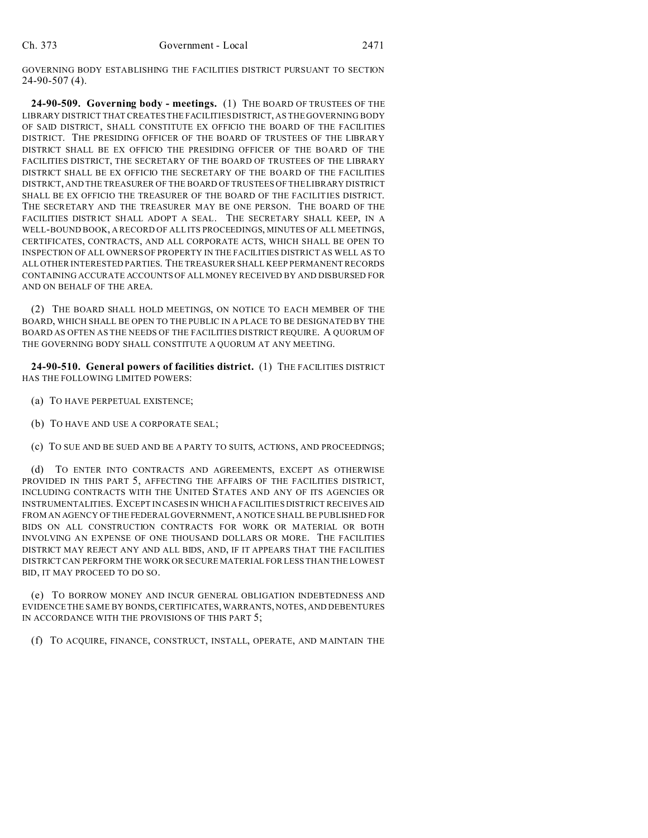GOVERNING BODY ESTABLISHING THE FACILITIES DISTRICT PURSUANT TO SECTION 24-90-507 (4).

**24-90-509. Governing body - meetings.** (1) THE BOARD OF TRUSTEES OF THE LIBRARY DISTRICT THAT CREATES THE FACILITIES DISTRICT, AS THE GOVERNING BODY OF SAID DISTRICT, SHALL CONSTITUTE EX OFFICIO THE BOARD OF THE FACILITIES DISTRICT. THE PRESIDING OFFICER OF THE BOARD OF TRUSTEES OF THE LIBRARY DISTRICT SHALL BE EX OFFICIO THE PRESIDING OFFICER OF THE BOARD OF THE FACILITIES DISTRICT, THE SECRETARY OF THE BOARD OF TRUSTEES OF THE LIBRARY DISTRICT SHALL BE EX OFFICIO THE SECRETARY OF THE BOARD OF THE FACILITIES DISTRICT, AND THE TREASURER OF THE BOARD OF TRUSTEES OF THE LIBRARY DISTRICT SHALL BE EX OFFICIO THE TREASURER OF THE BOARD OF THE FACILITIES DISTRICT. THE SECRETARY AND THE TREASURER MAY BE ONE PERSON. THE BOARD OF THE FACILITIES DISTRICT SHALL ADOPT A SEAL. THE SECRETARY SHALL KEEP, IN A WELL-BOUND BOOK, A RECORD OF ALL ITS PROCEEDINGS, MINUTES OF ALL MEETINGS, CERTIFICATES, CONTRACTS, AND ALL CORPORATE ACTS, WHICH SHALL BE OPEN TO INSPECTION OF ALL OWNERS OF PROPERTY IN THE FACILITIES DISTRICT AS WELL AS TO ALL OTHER INTERESTED PARTIES. THE TREASURER SHALL KEEP PERMANENT RECORDS CONTAINING ACCURATE ACCOUNTS OF ALL MONEY RECEIVED BY AND DISBURSED FOR AND ON BEHALF OF THE AREA.

(2) THE BOARD SHALL HOLD MEETINGS, ON NOTICE TO EACH MEMBER OF THE BOARD, WHICH SHALL BE OPEN TO THE PUBLIC IN A PLACE TO BE DESIGNATED BY THE BOARD AS OFTEN AS THE NEEDS OF THE FACILITIES DISTRICT REQUIRE. A QUORUM OF THE GOVERNING BODY SHALL CONSTITUTE A QUORUM AT ANY MEETING.

**24-90-510. General powers of facilities district.** (1) THE FACILITIES DISTRICT HAS THE FOLLOWING LIMITED POWERS:

- (a) TO HAVE PERPETUAL EXISTENCE;
- (b) TO HAVE AND USE A CORPORATE SEAL;
- (c) TO SUE AND BE SUED AND BE A PARTY TO SUITS, ACTIONS, AND PROCEEDINGS;

(d) TO ENTER INTO CONTRACTS AND AGREEMENTS, EXCEPT AS OTHERWISE PROVIDED IN THIS PART 5, AFFECTING THE AFFAIRS OF THE FACILITIES DISTRICT, INCLUDING CONTRACTS WITH THE UNITED STATES AND ANY OF ITS AGENCIES OR INSTRUMENTALITIES. EXCEPT IN CASES IN WHICH A FACILITIES DISTRICT RECEIVES AID FROM AN AGENCY OF THE FEDERAL GOVERNMENT, A NOTICE SHALL BE PUBLISHED FOR BIDS ON ALL CONSTRUCTION CONTRACTS FOR WORK OR MATERIAL OR BOTH INVOLVING AN EXPENSE OF ONE THOUSAND DOLLARS OR MORE. THE FACILITIES DISTRICT MAY REJECT ANY AND ALL BIDS, AND, IF IT APPEARS THAT THE FACILITIES DISTRICT CAN PERFORM THE WORK OR SECURE MATERIAL FOR LESS THAN THE LOWEST BID, IT MAY PROCEED TO DO SO.

(e) TO BORROW MONEY AND INCUR GENERAL OBLIGATION INDEBTEDNESS AND EVIDENCE THE SAME BY BONDS, CERTIFICATES, WARRANTS, NOTES, AND DEBENTURES IN ACCORDANCE WITH THE PROVISIONS OF THIS PART 5;

(f) TO ACQUIRE, FINANCE, CONSTRUCT, INSTALL, OPERATE, AND MAINTAIN THE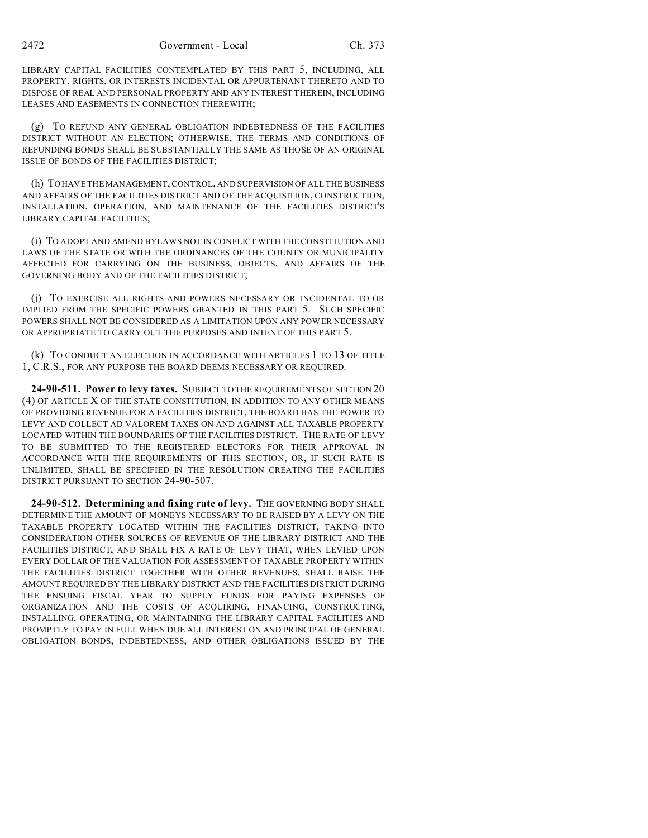LIBRARY CAPITAL FACILITIES CONTEMPLATED BY THIS PART 5, INCLUDING, ALL PROPERTY, RIGHTS, OR INTERESTS INCIDENTAL OR APPURTENANT THERETO AND TO DISPOSE OF REAL AND PERSONAL PROPERTY AND ANY INTEREST THEREIN, INCLUDING LEASES AND EASEMENTS IN CONNECTION THEREWITH;

(g) TO REFUND ANY GENERAL OBLIGATION INDEBTEDNESS OF THE FACILITIES DISTRICT WITHOUT AN ELECTION; OTHERWISE, THE TERMS AND CONDITIONS OF REFUNDING BONDS SHALL BE SUBSTANTIALLY THE SAME AS THOSE OF AN ORIGINAL ISSUE OF BONDS OF THE FACILITIES DISTRICT;

(h) TO HAVE THE MANAGEMENT, CONTROL, AND SUPERVISION OF ALL THE BUSINESS AND AFFAIRS OF THE FACILITIES DISTRICT AND OF THE ACQUISITION, CONSTRUCTION, INSTALLATION, OPERATION, AND MAINTENANCE OF THE FACILITIES DISTRICT'S LIBRARY CAPITAL FACILITIES;

(i) TO ADOPT AND AMEND BYLAWS NOT IN CONFLICT WITH THE CONSTITUTION AND LAWS OF THE STATE OR WITH THE ORDINANCES OF THE COUNTY OR MUNICIPALITY AFFECTED FOR CARRYING ON THE BUSINESS, OBJECTS, AND AFFAIRS OF THE GOVERNING BODY AND OF THE FACILITIES DISTRICT;

(j) TO EXERCISE ALL RIGHTS AND POWERS NECESSARY OR INCIDENTAL TO OR IMPLIED FROM THE SPECIFIC POWERS GRANTED IN THIS PART 5. SUCH SPECIFIC POWERS SHALL NOT BE CONSIDERED AS A LIMITATION UPON ANY POWER NECESSARY OR APPROPRIATE TO CARRY OUT THE PURPOSES AND INTENT OF THIS PART 5.

(k) TO CONDUCT AN ELECTION IN ACCORDANCE WITH ARTICLES 1 TO 13 OF TITLE 1, C.R.S., FOR ANY PURPOSE THE BOARD DEEMS NECESSARY OR REQUIRED.

**24-90-511. Power to levy taxes.** SUBJECT TO THE REQUIREMENTS OF SECTION 20 (4) OF ARTICLE X OF THE STATE CONSTITUTION, IN ADDITION TO ANY OTHER MEANS OF PROVIDING REVENUE FOR A FACILITIES DISTRICT, THE BOARD HAS THE POWER TO LEVY AND COLLECT AD VALOREM TAXES ON AND AGAINST ALL TAXABLE PROPERTY LOCATED WITHIN THE BOUNDARIES OF THE FACILITIES DISTRICT. THE RATE OF LEVY TO BE SUBMITTED TO THE REGISTERED ELECTORS FOR THEIR APPROVAL IN ACCORDANCE WITH THE REQUIREMENTS OF THIS SECTION, OR, IF SUCH RATE IS UNLIMITED, SHALL BE SPECIFIED IN THE RESOLUTION CREATING THE FACILITIES DISTRICT PURSUANT TO SECTION 24-90-507.

**24-90-512. Determining and fixing rate of levy.** THE GOVERNING BODY SHALL DETERMINE THE AMOUNT OF MONEYS NECESSARY TO BE RAISED BY A LEVY ON THE TAXABLE PROPERTY LOCATED WITHIN THE FACILITIES DISTRICT, TAKING INTO CONSIDERATION OTHER SOURCES OF REVENUE OF THE LIBRARY DISTRICT AND THE FACILITIES DISTRICT, AND SHALL FIX A RATE OF LEVY THAT, WHEN LEVIED UPON EVERY DOLLAR OF THE VALUATION FOR ASSESSMENT OF TAXABLE PROPERTY WITHIN THE FACILITIES DISTRICT TOGETHER WITH OTHER REVENUES, SHALL RAISE THE AMOUNT REQUIRED BY THE LIBRARY DISTRICT AND THE FACILITIES DISTRICT DURING THE ENSUING FISCAL YEAR TO SUPPLY FUNDS FOR PAYING EXPENSES OF ORGANIZATION AND THE COSTS OF ACQUIRING, FINANCING, CONSTRUCTING, INSTALLING, OPERATING, OR MAINTAINING THE LIBRARY CAPITAL FACILITIES AND PROMPTLY TO PAY IN FULL WHEN DUE ALL INTEREST ON AND PRINCIPAL OF GENERAL OBLIGATION BONDS, INDEBTEDNESS, AND OTHER OBLIGATIONS ISSUED BY THE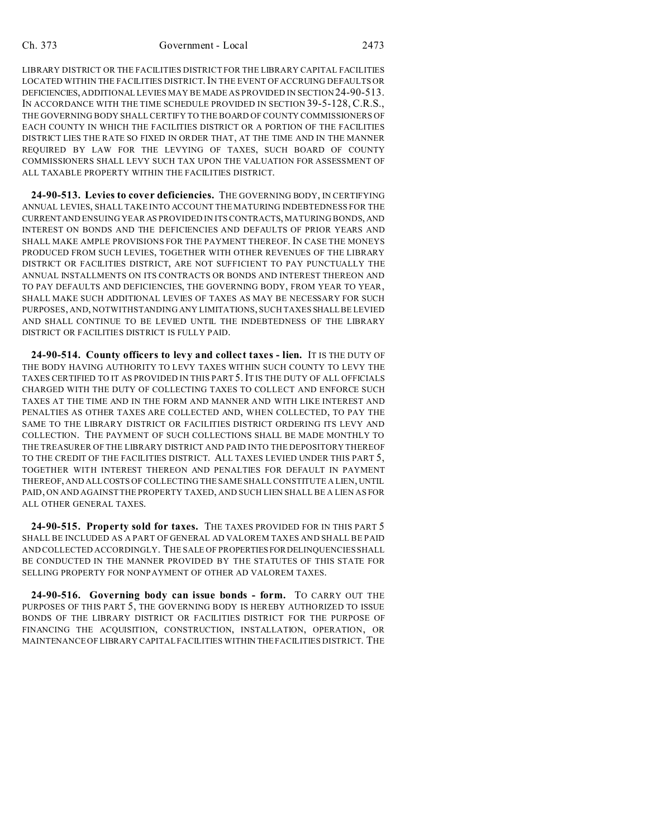LIBRARY DISTRICT OR THE FACILITIES DISTRICT FOR THE LIBRARY CAPITAL FACILITIES LOCATED WITHIN THE FACILITIES DISTRICT. IN THE EVENT OF ACCRUING DEFAULTS OR DEFICIENCIES, ADDITIONAL LEVIES MAY BE MADE AS PROVIDED IN SECTION 24-90-513. IN ACCORDANCE WITH THE TIME SCHEDULE PROVIDED IN SECTION 39-5-128, C.R.S., THE GOVERNING BODY SHALL CERTIFY TO THE BOARD OF COUNTY COMMISSIONERS OF EACH COUNTY IN WHICH THE FACILITIES DISTRICT OR A PORTION OF THE FACILITIES DISTRICT LIES THE RATE SO FIXED IN ORDER THAT, AT THE TIME AND IN THE MANNER REQUIRED BY LAW FOR THE LEVYING OF TAXES, SUCH BOARD OF COUNTY COMMISSIONERS SHALL LEVY SUCH TAX UPON THE VALUATION FOR ASSESSMENT OF ALL TAXABLE PROPERTY WITHIN THE FACILITIES DISTRICT.

**24-90-513. Levies to cover deficiencies.** THE GOVERNING BODY, IN CERTIFYING ANNUAL LEVIES, SHALL TAKE INTO ACCOUNT THE MATURING INDEBTEDNESS FOR THE CURRENTAND ENSUING YEAR AS PROVIDED IN ITS CONTRACTS, MATURING BONDS, AND INTEREST ON BONDS AND THE DEFICIENCIES AND DEFAULTS OF PRIOR YEARS AND SHALL MAKE AMPLE PROVISIONS FOR THE PAYMENT THEREOF. IN CASE THE MONEYS PRODUCED FROM SUCH LEVIES, TOGETHER WITH OTHER REVENUES OF THE LIBRARY DISTRICT OR FACILITIES DISTRICT, ARE NOT SUFFICIENT TO PAY PUNCTUALLY THE ANNUAL INSTALLMENTS ON ITS CONTRACTS OR BONDS AND INTEREST THEREON AND TO PAY DEFAULTS AND DEFICIENCIES, THE GOVERNING BODY, FROM YEAR TO YEAR, SHALL MAKE SUCH ADDITIONAL LEVIES OF TAXES AS MAY BE NECESSARY FOR SUCH PURPOSES, AND, NOTWITHSTANDING ANY LIMITATIONS, SUCH TAXES SHALL BE LEVIED AND SHALL CONTINUE TO BE LEVIED UNTIL THE INDEBTEDNESS OF THE LIBRARY DISTRICT OR FACILITIES DISTRICT IS FULLY PAID.

**24-90-514. County officers to levy and collect taxes - lien.** IT IS THE DUTY OF THE BODY HAVING AUTHORITY TO LEVY TAXES WITHIN SUCH COUNTY TO LEVY THE TAXES CERTIFIED TO IT AS PROVIDED IN THIS PART 5.IT IS THE DUTY OF ALL OFFICIALS CHARGED WITH THE DUTY OF COLLECTING TAXES TO COLLECT AND ENFORCE SUCH TAXES AT THE TIME AND IN THE FORM AND MANNER AND WITH LIKE INTEREST AND PENALTIES AS OTHER TAXES ARE COLLECTED AND, WHEN COLLECTED, TO PAY THE SAME TO THE LIBRARY DISTRICT OR FACILITIES DISTRICT ORDERING ITS LEVY AND COLLECTION. THE PAYMENT OF SUCH COLLECTIONS SHALL BE MADE MONTHLY TO THE TREASURER OF THE LIBRARY DISTRICT AND PAID INTO THE DEPOSITORY THEREOF TO THE CREDIT OF THE FACILITIES DISTRICT. ALL TAXES LEVIED UNDER THIS PART 5, TOGETHER WITH INTEREST THEREON AND PENALTIES FOR DEFAULT IN PAYMENT THEREOF, AND ALL COSTS OF COLLECTING THE SAME SHALL CONSTITUTE A LIEN, UNTIL PAID, ON AND AGAINST THE PROPERTY TAXED, AND SUCH LIEN SHALL BE A LIEN AS FOR ALL OTHER GENERAL TAXES.

**24-90-515. Property sold for taxes.** THE TAXES PROVIDED FOR IN THIS PART 5 SHALL BE INCLUDED AS A PART OF GENERAL AD VALOREM TAXES AND SHALL BE PAID AND COLLECTED ACCORDINGLY. THE SALE OF PROPERTIESFORDELINQUENCIES SHALL BE CONDUCTED IN THE MANNER PROVIDED BY THE STATUTES OF THIS STATE FOR SELLING PROPERTY FOR NONPAYMENT OF OTHER AD VALOREM TAXES.

**24-90-516. Governing body can issue bonds - form.** TO CARRY OUT THE PURPOSES OF THIS PART 5, THE GOVERNING BODY IS HEREBY AUTHORIZED TO ISSUE BONDS OF THE LIBRARY DISTRICT OR FACILITIES DISTRICT FOR THE PURPOSE OF FINANCING THE ACQUISITION, CONSTRUCTION, INSTALLATION, OPERATION, OR MAINTENANCE OF LIBRARY CAPITAL FACILITIES WITHIN THE FACILITIES DISTRICT. THE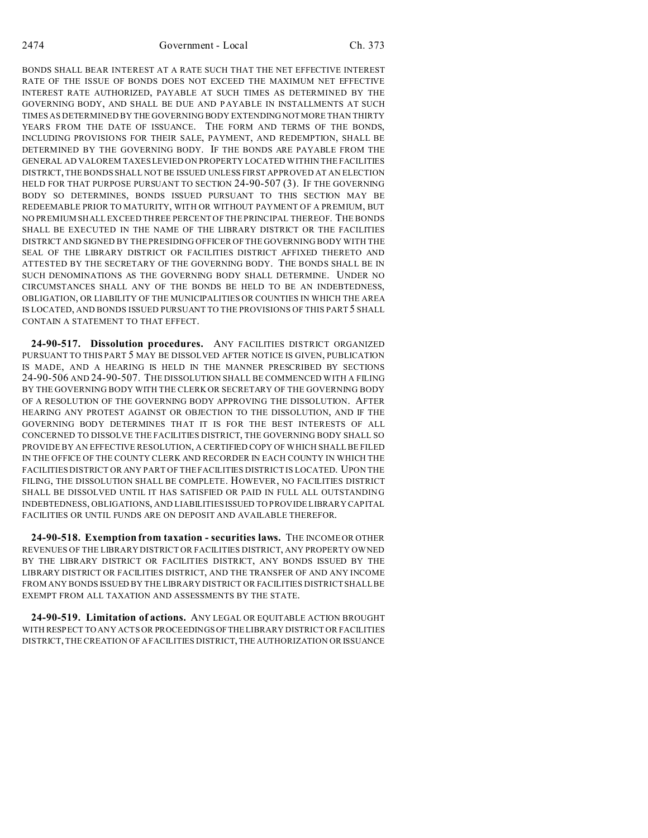2474 Government - Local Ch. 373

BONDS SHALL BEAR INTEREST AT A RATE SUCH THAT THE NET EFFECTIVE INTEREST RATE OF THE ISSUE OF BONDS DOES NOT EXCEED THE MAXIMUM NET EFFECTIVE INTEREST RATE AUTHORIZED, PAYABLE AT SUCH TIMES AS DETERMINED BY THE GOVERNING BODY, AND SHALL BE DUE AND PAYABLE IN INSTALLMENTS AT SUCH TIMES AS DETERMINED BY THE GOVERNING BODY EXTENDING NOTMORE THAN THIRTY YEARS FROM THE DATE OF ISSUANCE. THE FORM AND TERMS OF THE BONDS, INCLUDING PROVISIONS FOR THEIR SALE, PAYMENT, AND REDEMPTION, SHALL BE DETERMINED BY THE GOVERNING BODY. IF THE BONDS ARE PAYABLE FROM THE GENERAL AD VALOREM TAXES LEVIED ON PROPERTY LOCATED WITHIN THE FACILITIES DISTRICT, THE BONDS SHALL NOT BE ISSUED UNLESS FIRST APPROVED AT AN ELECTION HELD FOR THAT PURPOSE PURSUANT TO SECTION 24-90-507 (3). IF THE GOVERNING BODY SO DETERMINES, BONDS ISSUED PURSUANT TO THIS SECTION MAY BE REDEEMABLE PRIOR TO MATURITY, WITH OR WITHOUT PAYMENT OF A PREMIUM, BUT NO PREMIUM SHALL EXCEED THREE PERCENT OF THE PRINCIPAL THEREOF. THE BONDS SHALL BE EXECUTED IN THE NAME OF THE LIBRARY DISTRICT OR THE FACILITIES DISTRICT AND SIGNED BY THE PRESIDING OFFICER OF THE GOVERNING BODY WITH THE SEAL OF THE LIBRARY DISTRICT OR FACILITIES DISTRICT AFFIXED THERETO AND ATTESTED BY THE SECRETARY OF THE GOVERNING BODY. THE BONDS SHALL BE IN SUCH DENOMINATIONS AS THE GOVERNING BODY SHALL DETERMINE. UNDER NO CIRCUMSTANCES SHALL ANY OF THE BONDS BE HELD TO BE AN INDEBTEDNESS, OBLIGATION, OR LIABILITY OF THE MUNICIPALITIES OR COUNTIES IN WHICH THE AREA IS LOCATED, AND BONDS ISSUED PURSUANT TO THE PROVISIONS OF THIS PART 5 SHALL CONTAIN A STATEMENT TO THAT EFFECT.

**24-90-517. Dissolution procedures.** ANY FACILITIES DISTRICT ORGANIZED PURSUANT TO THIS PART 5 MAY BE DISSOLVED AFTER NOTICE IS GIVEN, PUBLICATION IS MADE, AND A HEARING IS HELD IN THE MANNER PRESCRIBED BY SECTIONS 24-90-506 AND 24-90-507. THE DISSOLUTION SHALL BE COMMENCED WITH A FILING BY THE GOVERNING BODY WITH THE CLERK OR SECRETARY OF THE GOVERNING BODY OF A RESOLUTION OF THE GOVERNING BODY APPROVING THE DISSOLUTION. AFTER HEARING ANY PROTEST AGAINST OR OBJECTION TO THE DISSOLUTION, AND IF THE GOVERNING BODY DETERMINES THAT IT IS FOR THE BEST INTERESTS OF ALL CONCERNED TO DISSOLVE THE FACILITIES DISTRICT, THE GOVERNING BODY SHALL SO PROVIDE BY AN EFFECTIVE RESOLUTION, A CERTIFIED COPY OF WHICH SHALL BE FILED IN THE OFFICE OF THE COUNTY CLERK AND RECORDER IN EACH COUNTY IN WHICH THE FACILITIES DISTRICT OR ANY PART OF THE FACILITIES DISTRICT IS LOCATED. UPON THE FILING, THE DISSOLUTION SHALL BE COMPLETE. HOWEVER, NO FACILITIES DISTRICT SHALL BE DISSOLVED UNTIL IT HAS SATISFIED OR PAID IN FULL ALL OUTSTANDING INDEBTEDNESS, OBLIGATIONS, AND LIABILITIES ISSUED TO PROVIDE LIBRARY CAPITAL FACILITIES OR UNTIL FUNDS ARE ON DEPOSIT AND AVAILABLE THEREFOR.

**24-90-518. Exemption from taxation - securities laws.** THE INCOME OR OTHER REVENUES OF THE LIBRARY DISTRICT OR FACILITIES DISTRICT, ANY PROPERTY OWNED BY THE LIBRARY DISTRICT OR FACILITIES DISTRICT, ANY BONDS ISSUED BY THE LIBRARY DISTRICT OR FACILITIES DISTRICT, AND THE TRANSFER OF AND ANY INCOME FROM ANY BONDS ISSUED BY THE LIBRARY DISTRICT OR FACILITIES DISTRICT SHALL BE EXEMPT FROM ALL TAXATION AND ASSESSMENTS BY THE STATE.

**24-90-519. Limitation of actions.** ANY LEGAL OR EQUITABLE ACTION BROUGHT WITH RESPECT TO ANY ACTS OR PROCEEDINGSOFTHE LIBRARY DISTRICT OR FACILITIES DISTRICT, THE CREATION OF A FACILITIES DISTRICT, THE AUTHORIZATION OR ISSUANCE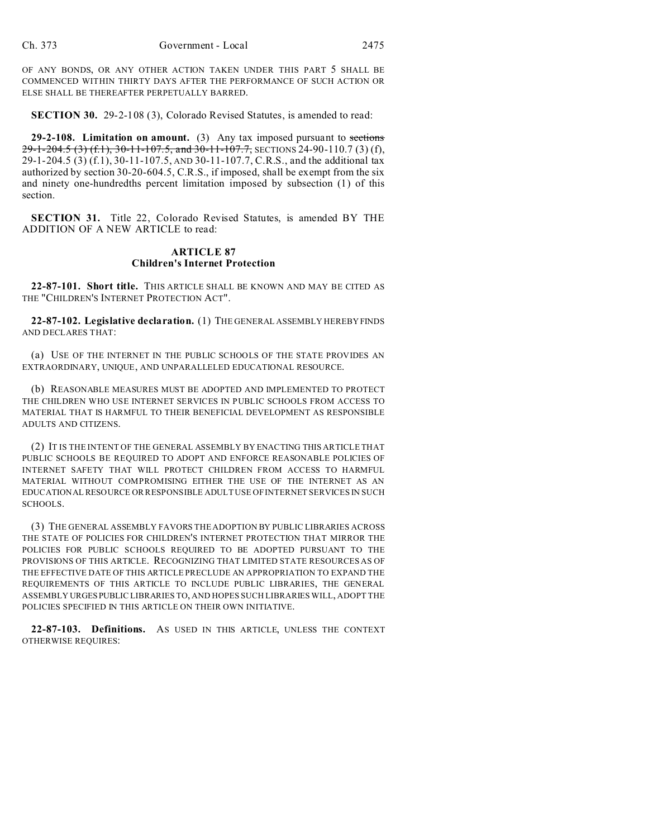OF ANY BONDS, OR ANY OTHER ACTION TAKEN UNDER THIS PART 5 SHALL BE COMMENCED WITHIN THIRTY DAYS AFTER THE PERFORMANCE OF SUCH ACTION OR ELSE SHALL BE THEREAFTER PERPETUALLY BARRED.

**SECTION 30.** 29-2-108 (3), Colorado Revised Statutes, is amended to read:

**29-2-108. Limitation on amount.** (3) Any tax imposed pursuant to sections 29-1-204.5 (3) (f.1), 30-11-107.5, and 30-11-107.7, SECTIONS 24-90-110.7 (3) (f), 29-1-204.5 (3) (f.1), 30-11-107.5, AND 30-11-107.7, C.R.S., and the additional tax authorized by section 30-20-604.5, C.R.S., if imposed, shall be exempt from the six and ninety one-hundredths percent limitation imposed by subsection (1) of this section.

**SECTION 31.** Title 22, Colorado Revised Statutes, is amended BY THE ADDITION OF A NEW ARTICLE to read:

## **ARTICLE 87 Children's Internet Protection**

**22-87-101. Short title.** THIS ARTICLE SHALL BE KNOWN AND MAY BE CITED AS THE "CHILDREN'S INTERNET PROTECTION ACT".

**22-87-102. Legislative declaration.** (1) THE GENERAL ASSEMBLY HEREBY FINDS AND DECLARES THAT:

(a) USE OF THE INTERNET IN THE PUBLIC SCHOOLS OF THE STATE PROVIDES AN EXTRAORDINARY, UNIQUE, AND UNPARALLELED EDUCATIONAL RESOURCE.

(b) REASONABLE MEASURES MUST BE ADOPTED AND IMPLEMENTED TO PROTECT THE CHILDREN WHO USE INTERNET SERVICES IN PUBLIC SCHOOLS FROM ACCESS TO MATERIAL THAT IS HARMFUL TO THEIR BENEFICIAL DEVELOPMENT AS RESPONSIBLE ADULTS AND CITIZENS.

(2) IT IS THE INTENT OF THE GENERAL ASSEMBLY BY ENACTING THIS ARTICLE THAT PUBLIC SCHOOLS BE REQUIRED TO ADOPT AND ENFORCE REASONABLE POLICIES OF INTERNET SAFETY THAT WILL PROTECT CHILDREN FROM ACCESS TO HARMFUL MATERIAL WITHOUT COMPROMISING EITHER THE USE OF THE INTERNET AS AN EDUCATIONAL RESOURCE OR RESPONSIBLE ADULT USE OF INTERNET SERVICES IN SUCH SCHOOLS.

(3) THE GENERAL ASSEMBLY FAVORS THE ADOPTION BY PUBLIC LIBRARIES ACROSS THE STATE OF POLICIES FOR CHILDREN'S INTERNET PROTECTION THAT MIRROR THE POLICIES FOR PUBLIC SCHOOLS REQUIRED TO BE ADOPTED PURSUANT TO THE PROVISIONS OF THIS ARTICLE. RECOGNIZING THAT LIMITED STATE RESOURCES AS OF THE EFFECTIVE DATE OF THIS ARTICLE PRECLUDE AN APPROPRIATION TO EXPAND THE REQUIREMENTS OF THIS ARTICLE TO INCLUDE PUBLIC LIBRARIES, THE GENERAL ASSEMBLY URGES PUBLIC LIBRARIES TO, AND HOPES SUCH LIBRARIES WILL, ADOPT THE POLICIES SPECIFIED IN THIS ARTICLE ON THEIR OWN INITIATIVE.

**22-87-103. Definitions.** AS USED IN THIS ARTICLE, UNLESS THE CONTEXT OTHERWISE REQUIRES: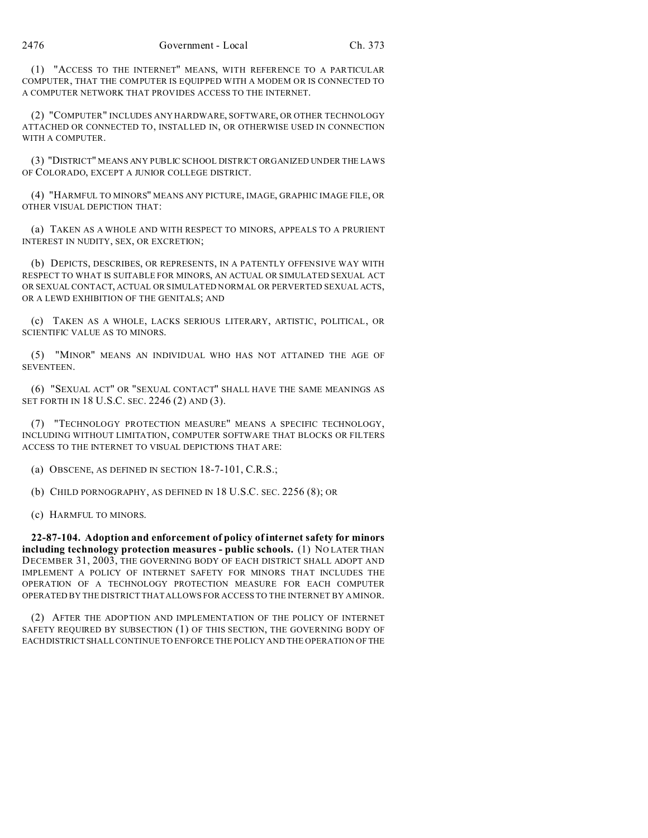(1) "ACCESS TO THE INTERNET" MEANS, WITH REFERENCE TO A PARTICULAR COMPUTER, THAT THE COMPUTER IS EQUIPPED WITH A MODEM OR IS CONNECTED TO A COMPUTER NETWORK THAT PROVIDES ACCESS TO THE INTERNET.

(2) "COMPUTER" INCLUDES ANY HARDWARE, SOFTWARE, OR OTHER TECHNOLOGY ATTACHED OR CONNECTED TO, INSTALLED IN, OR OTHERWISE USED IN CONNECTION WITH A COMPUTER.

(3) "DISTRICT" MEANS ANY PUBLIC SCHOOL DISTRICT ORGANIZED UNDER THE LAWS OF COLORADO, EXCEPT A JUNIOR COLLEGE DISTRICT.

(4) "HARMFUL TO MINORS" MEANS ANY PICTURE, IMAGE, GRAPHIC IMAGE FILE, OR OTHER VISUAL DEPICTION THAT:

(a) TAKEN AS A WHOLE AND WITH RESPECT TO MINORS, APPEALS TO A PRURIENT INTEREST IN NUDITY, SEX, OR EXCRETION;

(b) DEPICTS, DESCRIBES, OR REPRESENTS, IN A PATENTLY OFFENSIVE WAY WITH RESPECT TO WHAT IS SUITABLE FOR MINORS, AN ACTUAL OR SIMULATED SEXUAL ACT OR SEXUAL CONTACT, ACTUAL OR SIMULATED NORMAL OR PERVERTED SEXUAL ACTS, OR A LEWD EXHIBITION OF THE GENITALS; AND

(c) TAKEN AS A WHOLE, LACKS SERIOUS LITERARY, ARTISTIC, POLITICAL, OR SCIENTIFIC VALUE AS TO MINORS.

(5) "MINOR" MEANS AN INDIVIDUAL WHO HAS NOT ATTAINED THE AGE OF SEVENTEEN.

(6) "SEXUAL ACT" OR "SEXUAL CONTACT" SHALL HAVE THE SAME MEANINGS AS SET FORTH IN 18 U.S.C. SEC. 2246 (2) AND (3).

(7) "TECHNOLOGY PROTECTION MEASURE" MEANS A SPECIFIC TECHNOLOGY, INCLUDING WITHOUT LIMITATION, COMPUTER SOFTWARE THAT BLOCKS OR FILTERS ACCESS TO THE INTERNET TO VISUAL DEPICTIONS THAT ARE:

(a) OBSCENE, AS DEFINED IN SECTION 18-7-101, C.R.S.;

(b) CHILD PORNOGRAPHY, AS DEFINED IN 18 U.S.C. SEC. 2256 (8); OR

(c) HARMFUL TO MINORS.

**22-87-104. Adoption and enforcement of policy of internet safety for minors including technology protection measures - public schools.** (1) NO LATER THAN DECEMBER 31, 2003, THE GOVERNING BODY OF EACH DISTRICT SHALL ADOPT AND IMPLEMENT A POLICY OF INTERNET SAFETY FOR MINORS THAT INCLUDES THE OPERATION OF A TECHNOLOGY PROTECTION MEASURE FOR EACH COMPUTER OPERATED BY THE DISTRICT THAT ALLOWS FOR ACCESS TO THE INTERNET BY A MINOR.

(2) AFTER THE ADOPTION AND IMPLEMENTATION OF THE POLICY OF INTERNET SAFETY REQUIRED BY SUBSECTION (1) OF THIS SECTION, THE GOVERNING BODY OF EACHDISTRICT SHALL CONTINUE TO ENFORCE THE POLICY AND THE OPERATION OF THE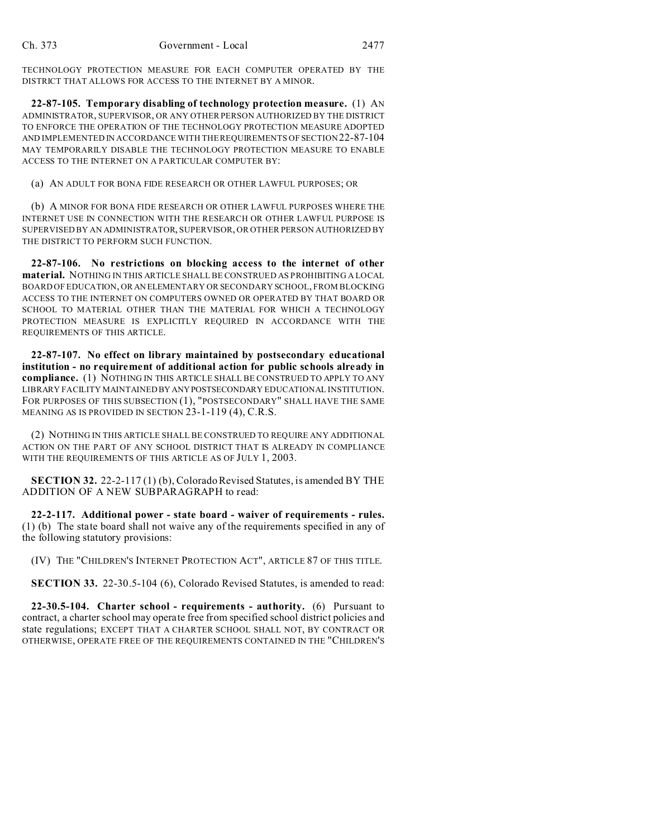TECHNOLOGY PROTECTION MEASURE FOR EACH COMPUTER OPERATED BY THE DISTRICT THAT ALLOWS FOR ACCESS TO THE INTERNET BY A MINOR.

**22-87-105. Temporary disabling of technology protection measure.** (1) AN ADMINISTRATOR, SUPERVISOR, OR ANY OTHER PERSON AUTHORIZED BY THE DISTRICT TO ENFORCE THE OPERATION OF THE TECHNOLOGY PROTECTION MEASURE ADOPTED AND IMPLEMENTED IN ACCORDANCE WITH THE REQUIREMENTS OF SECTION 22-87-104 MAY TEMPORARILY DISABLE THE TECHNOLOGY PROTECTION MEASURE TO ENABLE ACCESS TO THE INTERNET ON A PARTICULAR COMPUTER BY:

(a) AN ADULT FOR BONA FIDE RESEARCH OR OTHER LAWFUL PURPOSES; OR

(b) A MINOR FOR BONA FIDE RESEARCH OR OTHER LAWFUL PURPOSES WHERE THE INTERNET USE IN CONNECTION WITH THE RESEARCH OR OTHER LAWFUL PURPOSE IS SUPERVISED BY AN ADMINISTRATOR, SUPERVISOR, OR OTHER PERSON AUTHORIZED BY THE DISTRICT TO PERFORM SUCH FUNCTION.

**22-87-106. No restrictions on blocking access to the internet of other material.** NOTHING IN THIS ARTICLE SHALL BE CONSTRUED AS PROHIBITING A LOCAL BOARD OF EDUCATION, OR AN ELEMENTARY OR SECONDARY SCHOOL, FROM BLOCKING ACCESS TO THE INTERNET ON COMPUTERS OWNED OR OPERATED BY THAT BOARD OR SCHOOL TO MATERIAL OTHER THAN THE MATERIAL FOR WHICH A TECHNOLOGY PROTECTION MEASURE IS EXPLICITLY REQUIRED IN ACCORDANCE WITH THE REQUIREMENTS OF THIS ARTICLE.

**22-87-107. No effect on library maintained by postsecondary educational institution - no requirement of additional action for public schools already in compliance.** (1) NOTHING IN THIS ARTICLE SHALL BE CONSTRUED TO APPLY TO ANY LIBRARY FACILITY MAINTAINED BY ANYPOSTSECONDARY EDUCATIONAL INSTITUTION. FOR PURPOSES OF THIS SUBSECTION (1), "POSTSECONDARY" SHALL HAVE THE SAME MEANING AS IS PROVIDED IN SECTION 23-1-119 (4), C.R.S.

(2) NOTHING IN THIS ARTICLE SHALL BE CONSTRUED TO REQUIRE ANY ADDITIONAL ACTION ON THE PART OF ANY SCHOOL DISTRICT THAT IS ALREADY IN COMPLIANCE WITH THE REQUIREMENTS OF THIS ARTICLE AS OF JULY 1, 2003.

**SECTION 32.** 22-2-117 (1) (b), Colorado Revised Statutes, is amended BY THE ADDITION OF A NEW SUBPARAGRAPH to read:

**22-2-117. Additional power - state board - waiver of requirements - rules.** (1) (b) The state board shall not waive any of the requirements specified in any of the following statutory provisions:

(IV) THE "CHILDREN'S INTERNET PROTECTION ACT", ARTICLE 87 OF THIS TITLE.

**SECTION 33.** 22-30.5-104 (6), Colorado Revised Statutes, is amended to read:

**22-30.5-104. Charter school - requirements - authority.** (6) Pursuant to contract, a charter school may operate free from specified school district policies and state regulations; EXCEPT THAT A CHARTER SCHOOL SHALL NOT, BY CONTRACT OR OTHERWISE, OPERATE FREE OF THE REQUIREMENTS CONTAINED IN THE "CHILDREN'S